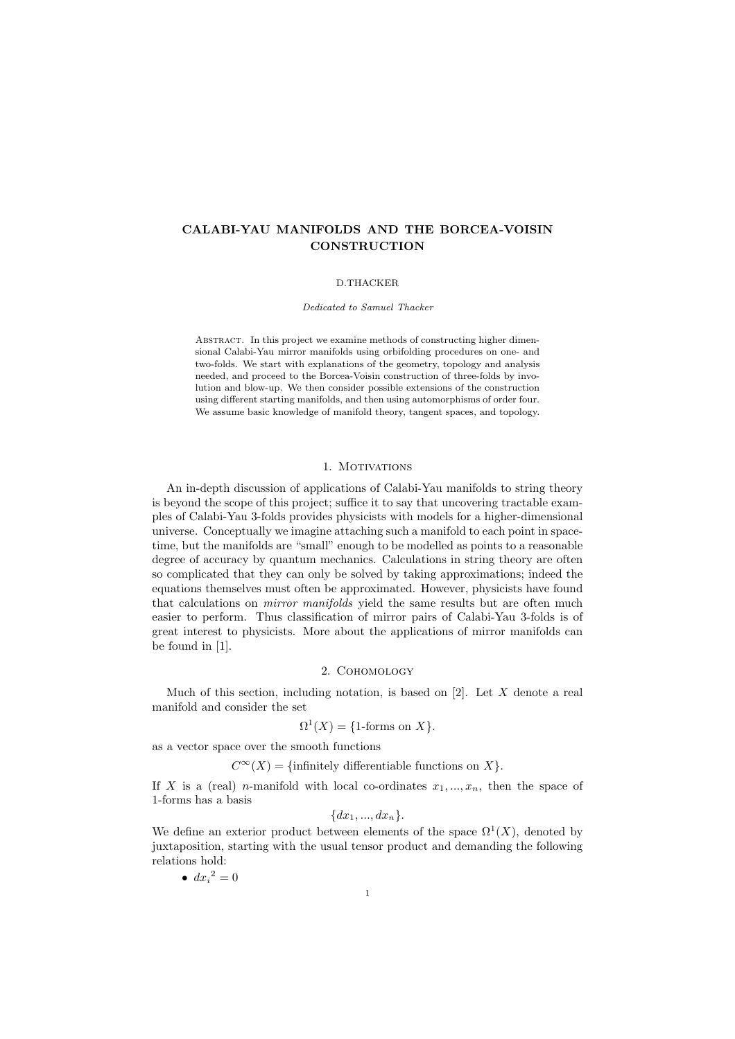# CALABI-YAU MANIFOLDS AND THE BORCEA-VOISIN **CONSTRUCTION**

### D.THACKER

Dedicated to Samuel Thacker

ABSTRACT. In this project we examine methods of constructing higher dimensional Calabi-Yau mirror manifolds using orbifolding procedures on one- and two-folds. We start with explanations of the geometry, topology and analysis needed, and proceed to the Borcea-Voisin construction of three-folds by involution and blow-up. We then consider possible extensions of the construction using different starting manifolds, and then using automorphisms of order four. We assume basic knowledge of manifold theory, tangent spaces, and topology.

## 1. MOTIVATIONS

An in-depth discussion of applications of Calabi-Yau manifolds to string theory is beyond the scope of this project; suffice it to say that uncovering tractable examples of Calabi-Yau 3-folds provides physicists with models for a higher-dimensional universe. Conceptually we imagine attaching such a manifold to each point in spacetime, but the manifolds are "small" enough to be modelled as points to a reasonable degree of accuracy by quantum mechanics. Calculations in string theory are often so complicated that they can only be solved by taking approximations; indeed the equations themselves must often be approximated. However, physicists have found that calculations on *mirror manifolds* yield the same results but are often much easier to perform. Thus classification of mirror pairs of Calabi-Yau 3-folds is of great interest to physicists. More about the applications of mirror manifolds can be found in [1].

## 2. Cohomology

Much of this section, including notation, is based on  $[2]$ . Let X denote a real manifold and consider the set

$$
\Omega^1(X) = \{1\text{-forms on } X\}.
$$

as a vector space over the smooth functions

 $C^{\infty}(X) = \{\text{infinitely differentiable functions on } X\}.$ 

If X is a (real) n-manifold with local co-ordinates  $x_1, ..., x_n$ , then the space of 1-forms has a basis

$$
{dx_1,...,dx_n}.
$$

We define an exterior product between elements of the space  $\Omega^1(X)$ , denoted by juxtaposition, starting with the usual tensor product and demanding the following relations hold:

$$
\bullet \ dx_i^2 = 0
$$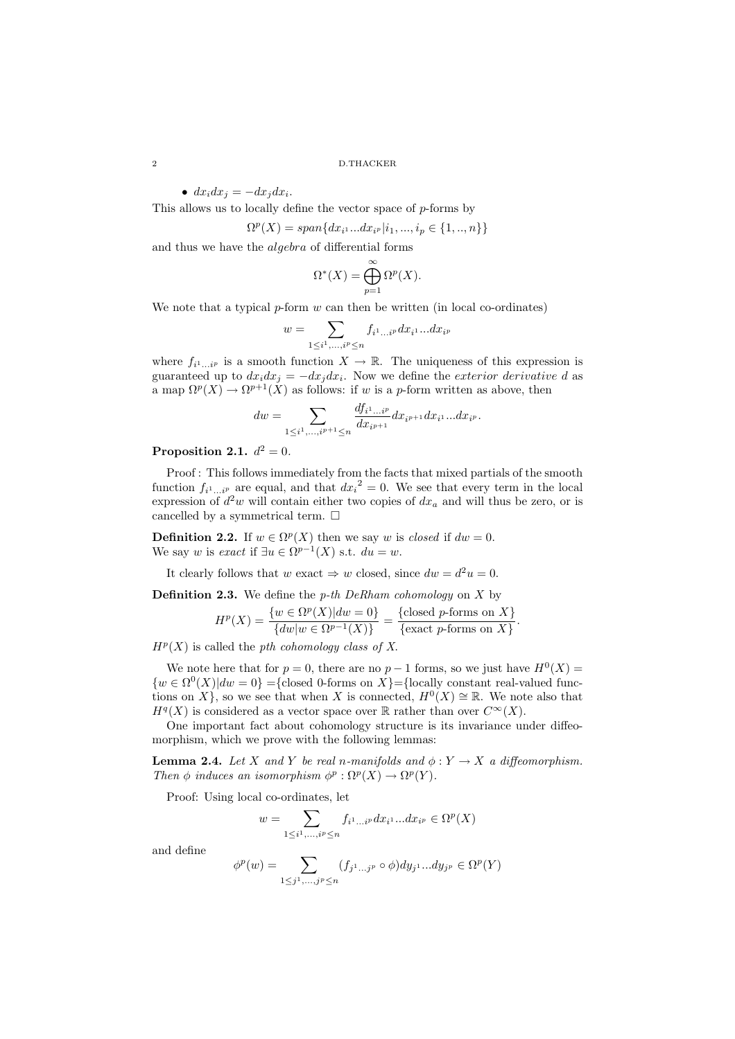•  $dx_i dx_j = -dx_j dx_i$ .

This allows us to locally define the vector space of  $p$ -forms by

$$
\Omega^p(X)=span\{dx_{i^1}...dx_{i^p}|i_1,...,i_p\in\{1,..,n\}\}
$$

and thus we have the algebra of differential forms

$$
\Omega^*(X) = \bigoplus_{p=1}^{\infty} \Omega^p(X).
$$

We note that a typical  $p$ -form  $w$  can then be written (in local co-ordinates)

$$
w=\sum_{1\leq i^1,\ldots,i^p\leq n}f_{i^1\ldots i^p}dx_{i^1}\ldots dx_{i^p}
$$

where  $f_{i^1...i^p}$  is a smooth function  $X \to \mathbb{R}$ . The uniqueness of this expression is guaranteed up to  $dx_i dx_j = -dx_j dx_i$ . Now we define the exterior derivative d as a map  $\Omega^p(X) \to \Omega^{p+1}(X)$  as follows: if w is a p-form written as above, then

$$
dw = \sum_{1 \leq i^1, \dots, i^{p+1} \leq n} \frac{df_{i^1 \dots i^p}}{dx_{i^{p+1}}} dx_{i^{p+1}} dx_{i^1} \dots dx_{i^p}.
$$

## Proposition 2.1.  $d^2 = 0$ .

Proof : This follows immediately from the facts that mixed partials of the smooth function  $f_{i^1...i^p}$  are equal, and that  $dx_i^2 = 0$ . We see that every term in the local expression of  $d^2w$  will contain either two copies of  $dx_a$  and will thus be zero, or is cancelled by a symmetrical term.  $\Box$ 

**Definition 2.2.** If  $w \in \Omega^p(X)$  then we say w is closed if  $dw = 0$ . We say w is exact if  $\exists u \in \Omega^{p-1}(X)$  s.t.  $du = w$ .

It clearly follows that  $w$  exact  $\Rightarrow w$  closed, since  $dw = d^2u = 0$ .

**Definition 2.3.** We define the *p*-th DeRham cohomology on  $X$  by

$$
H^{p}(X) = \frac{\{w \in \Omega^{p}(X) | dw = 0\}}{\{dw | w \in \Omega^{p-1}(X)\}} = \frac{\{\text{closed } p\text{-forms on } X\}}{\{\text{exact } p\text{-forms on } X\}}
$$

.

 $H<sup>p</sup>(X)$  is called the *pth cohomology class of* X.

We note here that for  $p = 0$ , there are no  $p - 1$  forms, so we just have  $H^0(X) =$  $\{w \in \Omega^0(X) | dw = 0\} = {\text{closed 0-forms on } X\} = {\text{locally constant real-valued func-}}$ tions on X}, so we see that when X is connected,  $H^0(X) \cong \mathbb{R}$ . We note also that  $H<sup>q</sup>(X)$  is considered as a vector space over R rather than over  $C<sup>\infty</sup>(X)$ .

One important fact about cohomology structure is its invariance under diffeomorphism, which we prove with the following lemmas:

**Lemma 2.4.** Let X and Y be real n-manifolds and  $\phi: Y \to X$  a diffeomorphism. Then  $\phi$  induces an isomorphism  $\phi^p : \Omega^p(X) \to \Omega^p(Y)$ .

Proof: Using local co-ordinates, let

$$
w = \sum_{1 \leq i^1, \dots, i^p \leq n} f_{i^1 \dots i^p} dx_{i^1} \dots dx_{i^p} \in \Omega^p(X)
$$

and define

$$
\phi^p(w) = \sum_{1 \leq j^1, \dots, j^p \leq n} (f_{j^1 \dots j^p} \circ \phi) dy_{j^1} \dots dy_{j^p} \in \Omega^p(Y)
$$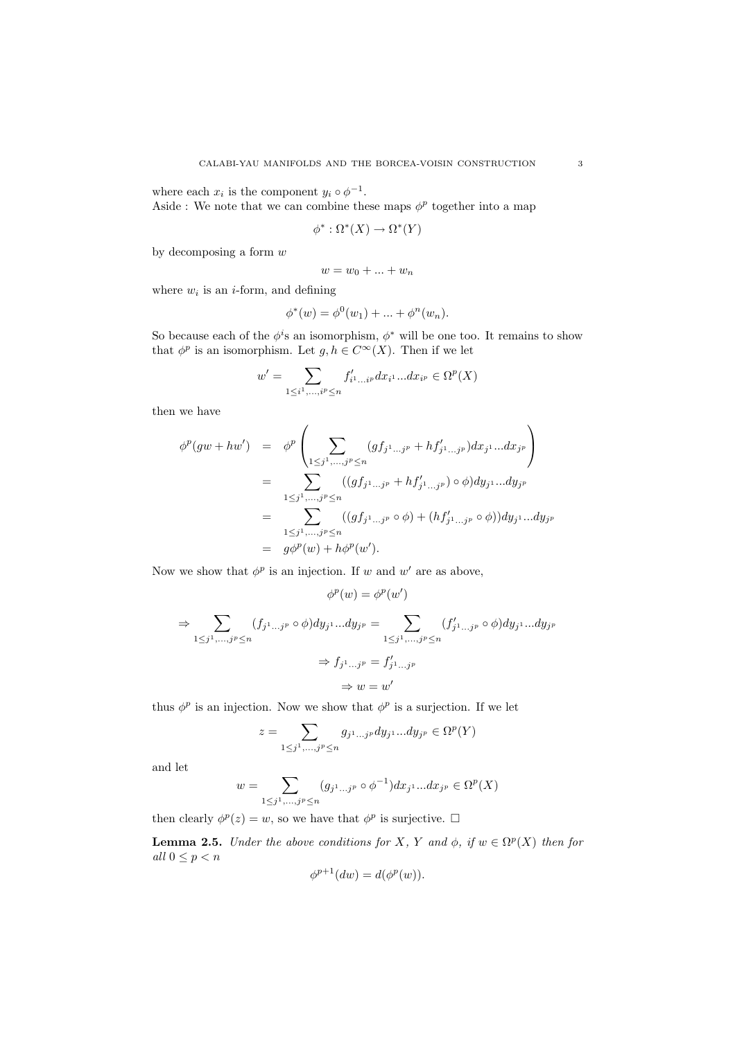where each  $x_i$  is the component  $y_i \circ \phi^{-1}$ .

Aside : We note that we can combine these maps  $\phi^p$  together into a map

$$
\phi^*:\Omega^*(X)\to\Omega^*(Y)
$$

by decomposing a form  $w$ 

$$
w = w_0 + \ldots + w_n
$$

where  $w_i$  is an *i*-form, and defining

$$
\phi^*(w) = \phi^0(w_1) + \dots + \phi^n(w_n).
$$

So because each of the  $\phi^i$ s an isomorphism,  $\phi^*$  will be one too. It remains to show that  $\phi^p$  is an isomorphism. Let  $g, h \in C^{\infty}(X)$ . Then if we let

$$
w' = \sum_{1 \leq i^1, \dots, i^p \leq n} f'_{i^1 \dots i^p} dx_{i^1} \dots dx_{i^p} \in \Omega^p(X)
$$

then we have

$$
\begin{array}{rcl}\n\phi^p(gw+hw') & = & \phi^p\left(\sum_{1\leq j^1,\ldots,j^p\leq n}(gf_{j^1\ldots j^p}+hf'_{j^1\ldots j^p})dx_{j^1}\ldots dx_{j^p}\right) \\
& = & \sum_{1\leq j^1,\ldots,j^p\leq n}((gf_{j^1\ldots j^p}+hf'_{j^1\ldots j^p})\circ\phi)dy_{j^1}\ldots dy_{j^p} \\
& = & \sum_{1\leq j^1,\ldots,j^p\leq n}((gf_{j^1\ldots j^p}\circ\phi)+(hf'_{j^1\ldots j^p}\circ\phi))dy_{j^1}\ldots dy_{j^p} \\
& = & g\phi^p(w)+h\phi^p(w').\n\end{array}
$$

Now we show that  $\phi^p$  is an injection. If w and w' are as above,

$$
\phi^p(w) = \phi^p(w')
$$
  
\n
$$
\Rightarrow \sum_{1 \le j^1, \dots, j^p \le n} (f_{j^1 \dots j^p} \circ \phi) dy_{j^1} \dots dy_{j^p} = \sum_{1 \le j^1, \dots, j^p \le n} (f'_{j^1 \dots j^p} \circ \phi) dy_{j^1} \dots dy_{j^p}
$$
  
\n
$$
\Rightarrow f_{j^1 \dots j^p} = f'_{j^1 \dots j^p}
$$
  
\n
$$
\Rightarrow w = w'
$$

thus  $\phi^p$  is an injection. Now we show that  $\phi^p$  is a surjection. If we let

$$
z=\sum_{1\leq j^1,\ldots,j^p\leq n}g_{j^1\ldots j^p}dy_{j^1}\ldots dy_{j^p}\in \Omega^p(Y)
$$

and let

$$
w = \sum_{1 \leq j^1, \dots, j^p \leq n} (g_{j^1 \dots j^p} \circ \phi^{-1}) dx_{j^1} \dots dx_{j^p} \in \Omega^p(X)
$$

then clearly  $\phi^p(z) = w$ , so we have that  $\phi^p$  is surjective.  $\square$ 

**Lemma 2.5.** Under the above conditions for X, Y and  $\phi$ , if  $w \in \Omega^p(X)$  then for all  $0 \leq p < n$ 

$$
\phi^{p+1}(dw) = d(\phi^p(w)).
$$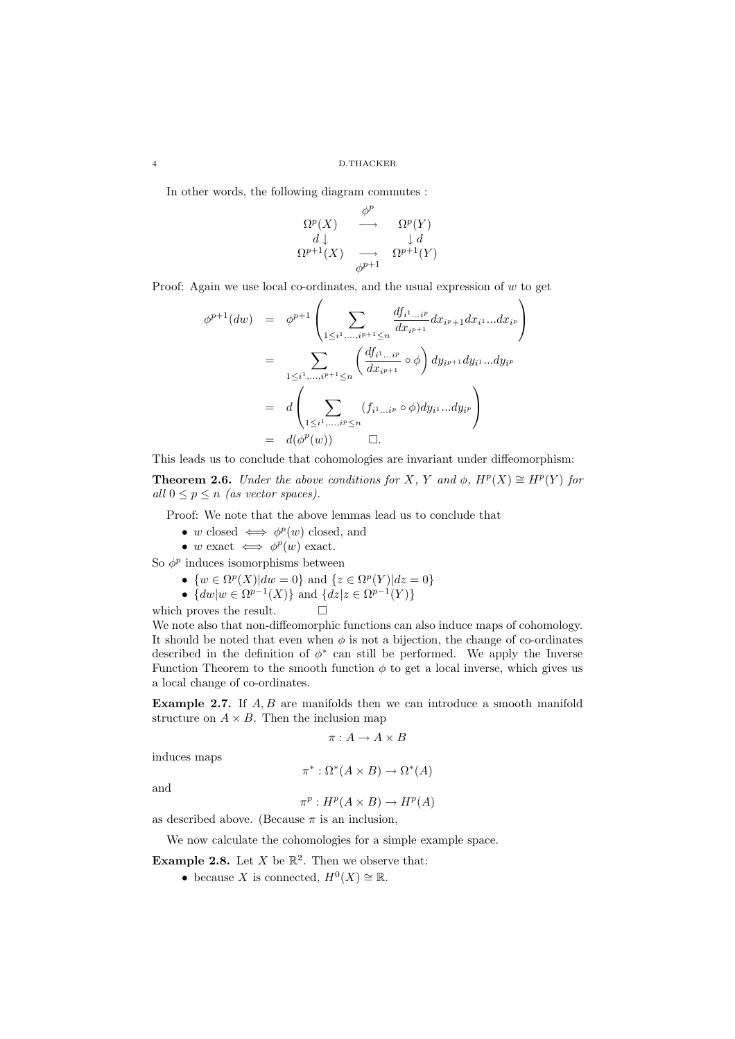In other words, the following diagram commutes :

$$
\begin{array}{ccc}\n\Omega^p(X) & \stackrel{\phi^p}{\longrightarrow} & \Omega^p(Y) \\
d \downarrow & & \downarrow d \\
\Omega^{p+1}(X) & \stackrel{}{\longrightarrow} & \Omega^{p+1}(Y) \\
\phi^{p+1}\n\end{array}
$$

Proof: Again we use local co-ordinates, and the usual expression of  $w$  to get

$$
\phi^{p+1}(dw) = \phi^{p+1}\left(\sum_{1 \leq i^1, \dots, i^{p+1} \leq n} \frac{df_{i^1 \dots i^p}}{dx_{i^{p+1}}} dx_{i^p+1} dx_{i^1} \dots dx_{i^p}\right)
$$
  
\n
$$
= \sum_{1 \leq i^1, \dots, i^{p+1} \leq n} \left(\frac{df_{i^1 \dots i^p}}{dx_{i^{p+1}}} \circ \phi\right) dy_{i^{p+1}} dy_{i^1} \dots dy_{i^p}
$$
  
\n
$$
= d\left(\sum_{1 \leq i^1, \dots, i^p \leq n} (f_{i^1 \dots i^p} \circ \phi) dy_{i^1} \dots dy_{i^p}\right)
$$
  
\n
$$
= d(\phi^p(w)) \qquad \Box.
$$

This leads us to conclude that cohomologies are invariant under diffeomorphism:

**Theorem 2.6.** Under the above conditions for X, Y and  $\phi$ ,  $H^p(X) \cong H^p(Y)$  for all  $0 \leq p \leq n$  (as vector spaces).

Proof: We note that the above lemmas lead us to conclude that

- w closed  $\iff \phi^p(w)$  closed, and
- w exact  $\iff \phi^p(w)$  exact.

So  $\phi^p$  induces isomorphisms between

• 
$$
\{w \in \Omega^p(X) | dw = 0\}
$$
 and  $\{z \in \Omega^p(Y) | dz = 0\}$ 

•  $\{dw|w \in \Omega^{p-1}(X)\}\$  and  $\{dz|z \in \Omega^{p-1}(Y)\}\$ 

which proves the result.  $\Box$ 

We note also that non-diffeomorphic functions can also induce maps of cohomology. It should be noted that even when  $\phi$  is not a bijection, the change of co-ordinates described in the definition of  $\phi^*$  can still be performed. We apply the Inverse Function Theorem to the smooth function  $\phi$  to get a local inverse, which gives us a local change of co-ordinates.

Example 2.7. If  $A, B$  are manifolds then we can introduce a smooth manifold structure on  $A \times B$ . Then the inclusion map

$$
\pi: A \to A \times B
$$

induces maps

$$
\pi^* : \Omega^*(A \times B) \to \Omega^*(A)
$$

and

$$
\pi^p: H^p(A \times B) \to H^p(A)
$$

as described above. (Because  $\pi$  is an inclusion,

We now calculate the cohomologies for a simple example space.

**Example 2.8.** Let X be  $\mathbb{R}^2$ . Then we observe that:

• because X is connected,  $H^0(X) \cong \mathbb{R}$ .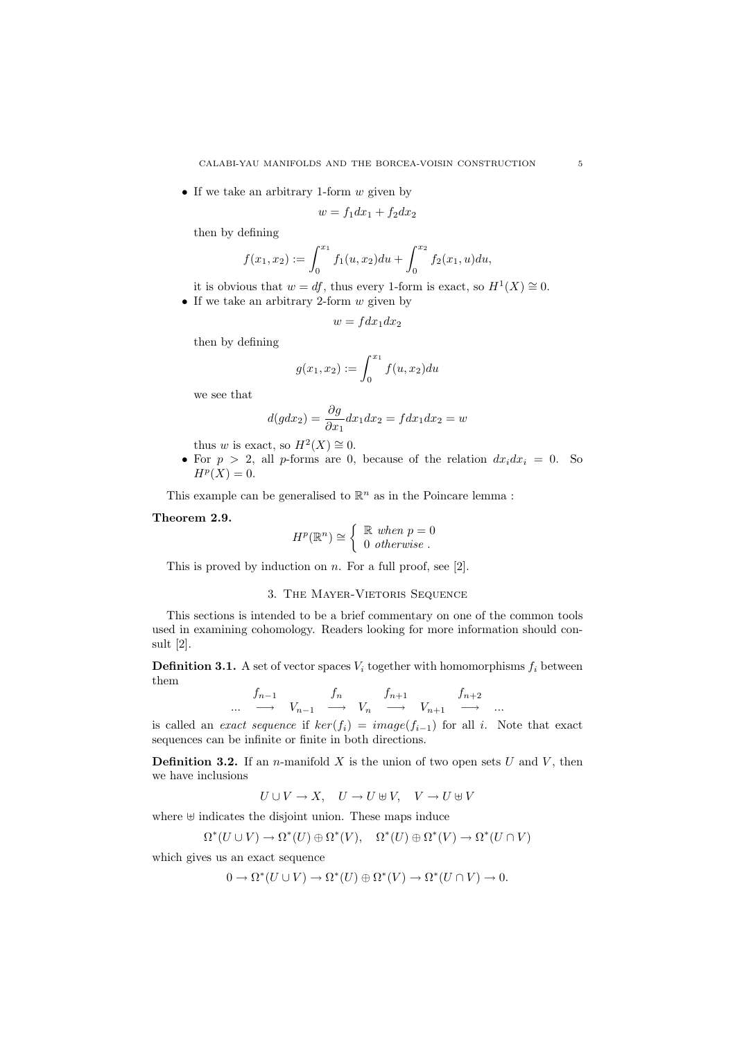• If we take an arbitrary 1-form  $w$  given by

$$
w = f_1 dx_1 + f_2 dx_2
$$

then by defining

$$
f(x_1, x_2) := \int_0^{x_1} f_1(u, x_2) du + \int_0^{x_2} f_2(x_1, u) du,
$$

it is obvious that  $w = df$ , thus every 1-form is exact, so  $H^1(X) \cong 0$ .

• If we take an arbitrary 2-form  $w$  given by

$$
w = f dx_1 dx_2
$$

then by defining

$$
g(x_1, x_2) := \int_0^{x_1} f(u, x_2) du
$$

we see that

$$
d(gdx_2) = \frac{\partial g}{\partial x_1} dx_1 dx_2 = f dx_1 dx_2 = w
$$

thus w is exact, so  $H^2(X) \cong 0$ .

• For  $p > 2$ , all p-forms are 0, because of the relation  $dx_i dx_i = 0$ . So  $H^p(X)=0.$ 

This example can be generalised to  $\mathbb{R}^n$  as in the Poincare lemma :

## Theorem 2.9.

$$
H^p(\mathbb{R}^n) \cong \left\{ \begin{array}{c} \mathbb{R} \text{ when } p = 0 \\ 0 \text{ otherwise.} \end{array} \right.
$$

This is proved by induction on  $n$ . For a full proof, see [2].

## 3. The Mayer-Vietoris Sequence

This sections is intended to be a brief commentary on one of the common tools used in examining cohomology. Readers looking for more information should consult [2].

**Definition 3.1.** A set of vector spaces  $V_i$  together with homomorphisms  $f_i$  between them

$$
\begin{array}{ccccccccc}\n & f_{n-1} & & f_n & & f_{n+1} & & f_{n+2} \\
\cdots & \longrightarrow & V_{n-1} & \longrightarrow & V_n & \longrightarrow & V_{n+1} & \longrightarrow & \cdots\n\end{array}
$$

is called an *exact sequence* if  $ker(f_i) = image(f_{i-1})$  for all i. Note that exact sequences can be infinite or finite in both directions.

**Definition 3.2.** If an *n*-manifold X is the union of two open sets U and V, then we have inclusions

 $U \cup V \to X$ ,  $U \to U \oplus V$ ,  $V \to U \oplus V$ 

where ⊎ indicates the disjoint union. These maps induce

$$
\Omega^*(U \cup V) \to \Omega^*(U) \oplus \Omega^*(V), \quad \Omega^*(U) \oplus \Omega^*(V) \to \Omega^*(U \cap V)
$$

which gives us an exact sequence

$$
0 \to \Omega^*(U \cup V) \to \Omega^*(U) \oplus \Omega^*(V) \to \Omega^*(U \cap V) \to 0.
$$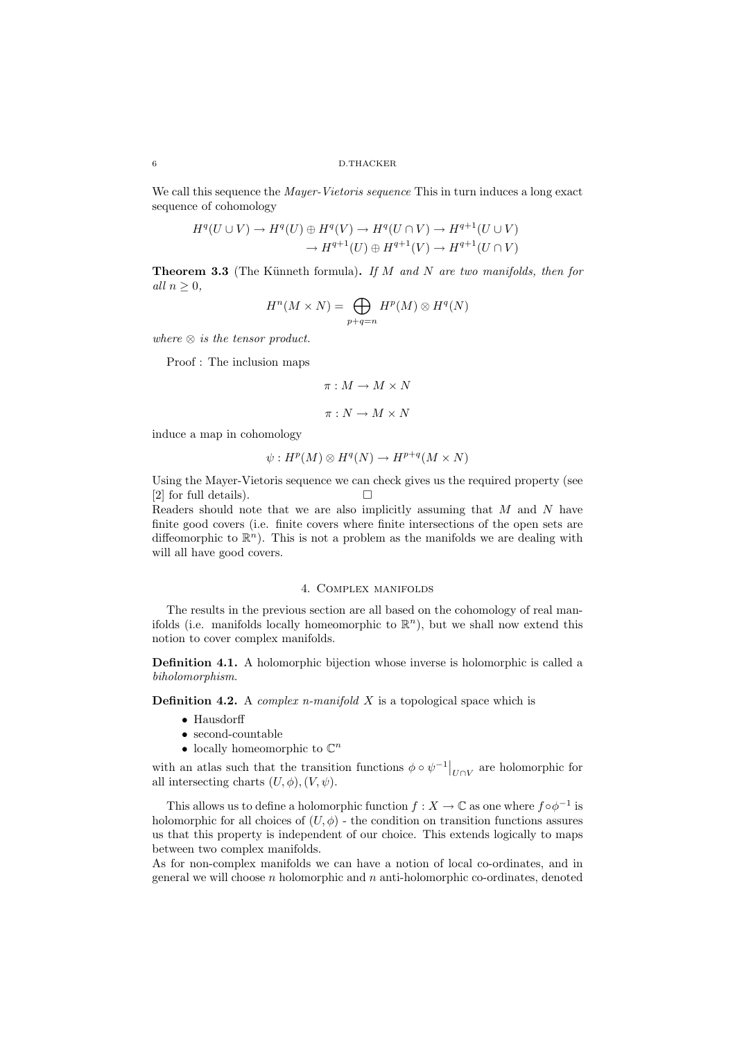We call this sequence the *Mayer-Vietoris sequence* This in turn induces a long exact sequence of cohomology

$$
H^q(U \cup V) \to H^q(U) \oplus H^q(V) \to H^q(U \cap V) \to H^{q+1}(U \cup V)
$$
  

$$
\to H^{q+1}(U) \oplus H^{q+1}(V) \to H^{q+1}(U \cap V)
$$

**Theorem 3.3** (The Künneth formula). If M and N are two manifolds, then for all  $n \geq 0$ ,

$$
H^n(M \times N) = \bigoplus_{p+q=n} H^p(M) \otimes H^q(N)
$$

where  $\otimes$  is the tensor product.

Proof : The inclusion maps

$$
\pi: M \to M \times N
$$

$$
\pi: N \to M \times N
$$

induce a map in cohomology

$$
\psi: H^p(M) \otimes H^q(N) \to H^{p+q}(M \times N)
$$

Using the Mayer-Vietoris sequence we can check gives us the required property (see [2] for full details).  $\Box$ 

Readers should note that we are also implicitly assuming that  $M$  and  $N$  have finite good covers (i.e. finite covers where finite intersections of the open sets are diffeomorphic to  $\mathbb{R}^n$ ). This is not a problem as the manifolds we are dealing with will all have good covers.

## 4. Complex manifolds

The results in the previous section are all based on the cohomology of real manifolds (i.e. manifolds locally homeomorphic to  $\mathbb{R}^n$ ), but we shall now extend this notion to cover complex manifolds.

Definition 4.1. A holomorphic bijection whose inverse is holomorphic is called a biholomorphism.

**Definition 4.2.** A *complex n-manifold*  $X$  is a topological space which is

- Hausdorff
- $\bullet\,$  second-countable
- $\bullet\,$  locally homeomorphic to  $\mathbb{C}^n$

with an atlas such that the transition functions  $\phi \circ \psi^{-1}|_{U \cap V}$  are holomorphic for all intersecting charts  $(U, \phi), (V, \psi)$ .

This allows us to define a holomorphic function  $f : X \to \mathbb{C}$  as one where  $f \circ \phi^{-1}$  is holomorphic for all choices of  $(U, \phi)$  - the condition on transition functions assures us that this property is independent of our choice. This extends logically to maps between two complex manifolds.

As for non-complex manifolds we can have a notion of local co-ordinates, and in general we will choose  $n$  holomorphic and  $n$  anti-holomorphic co-ordinates, denoted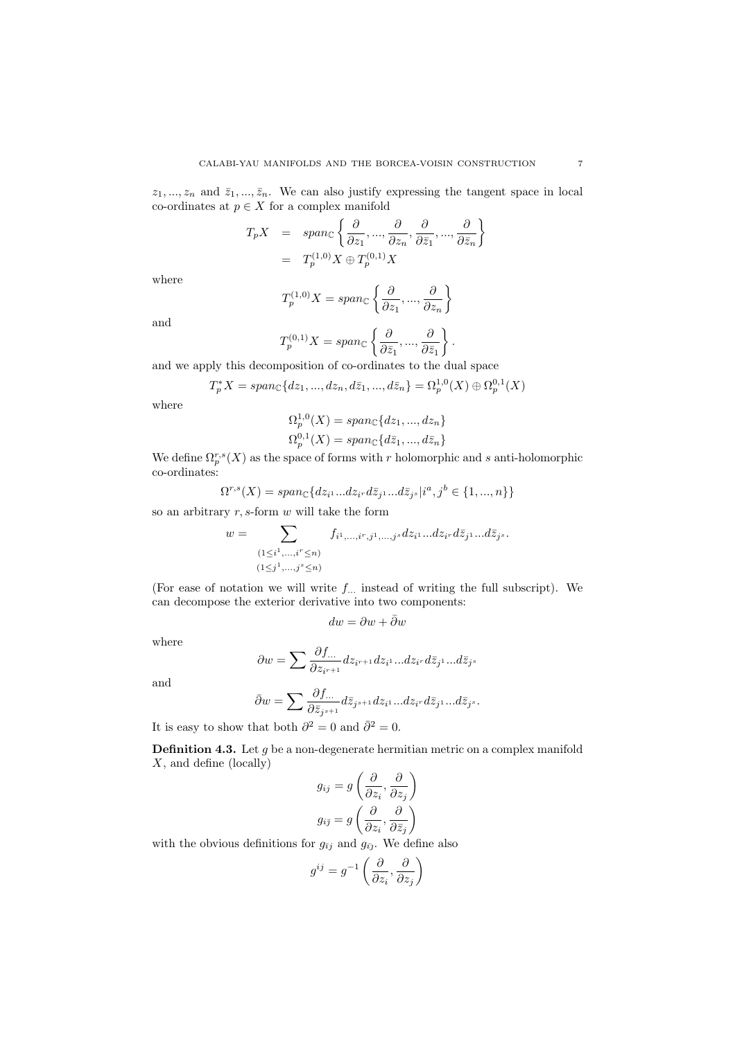$z_1, ..., z_n$  and  $\bar{z}_1, ..., \bar{z}_n$ . We can also justify expressing the tangent space in local co-ordinates at  $p \in X$  for a complex manifold

$$
T_p X = span_{\mathbb{C}} \left\{ \frac{\partial}{\partial z_1}, ..., \frac{\partial}{\partial z_n}, \frac{\partial}{\partial \bar{z}_1}, ..., \frac{\partial}{\partial \bar{z}_n} \right\}
$$
  
=  $T_p^{(1,0)} X \oplus T_p^{(0,1)} X$ 

where

$$
T_p^{(1,0)}X = span_{\mathbb{C}}\left\{\frac{\partial}{\partial z_1}, ..., \frac{\partial}{\partial z_n}\right\}
$$

and

$$
T_p^{(0,1)}X=span_{\mathbb{C}}\left\{\frac{\partial}{\partial\bar{z}_1},...,\frac{\partial}{\partial\bar{z}_1}\right\}.
$$

and we apply this decomposition of co-ordinates to the dual space

$$
T_p^*X = span_{\mathbb{C}}\{dz_1, ..., dz_n, d\bar{z}_1, ..., d\bar{z}_n\} = \Omega_p^{1,0}(X) \oplus \Omega_p^{0,1}(X)
$$

where

$$
\Omega_p^{1,0}(X) = span_{\mathbb{C}}\{dz_1, ..., dz_n\}
$$
  

$$
\Omega_p^{0,1}(X) = span_{\mathbb{C}}\{d\overline{z}_1, ..., d\overline{z}_n\}
$$

We define  $\Omega_p^{r,s}(X)$  as the space of forms with r holomorphic and s anti-holomorphic co-ordinates:

$$
\Omega^{r,s}(X) = span_{\mathbb{C}}\{dz_{i^1}...dz_{i^r}d\bar{z}_{j^1}...d\bar{z}_{j^s}|i^a,j^b \in \{1,...,n\}\}\
$$

so an arbitrary  $r, s$ -form  $w$  will take the form

$$
w = \sum_{\substack{(1 \leq i^1, \dots, i^r \leq n) \\ (1 \leq j^1, \dots, j^s \leq n)}} f_{i^1, \dots, i^r, j^1, \dots, j^s} dz_{i^1} \dots dz_{i^r} d\bar{z}_{j^1} \dots d\bar{z}_{j^s}.
$$

(For ease of notation we will write  $f_{\dots}$  instead of writing the full subscript). We can decompose the exterior derivative into two components:

$$
dw=\partial w+\bar\partial w
$$

where

$$
\partial w = \sum \frac{\partial f_{\cdots}}{\partial z_{i^{r+1}}} dz_{i^{r+1}} dz_{i^1} \cdots dz_{i^r} d\bar{z}_{j^1} \cdots d\bar{z}_{j^s}
$$

and

$$
\bar{\partial}w = \sum \frac{\partial f_{\dots}}{\partial \bar{z}_{j^{s+1}}} d\bar{z}_{j^{s+1}} dz_{i^1} ... dz_{i^r} d\bar{z}_{j^1} ... d\bar{z}_{j^s}.
$$

It is easy to show that both  $\partial^2 = 0$  and  $\bar{\partial}^2 = 0$ .

**Definition 4.3.** Let  $q$  be a non-degenerate hermitian metric on a complex manifold X, and define (locally) ∂ ∂

$$
g_{ij} = g\left(\frac{\partial}{\partial z_i}, \frac{\partial}{\partial z_j}\right)
$$

$$
g_{i\bar{j}} = g\left(\frac{\partial}{\partial z_i}, \frac{\partial}{\partial \bar{z}_j}\right)
$$

with the obvious definitions for  $g_{\bar{i}j}$  and  $g_{\bar{i}j}$ . We define also

$$
g^{ij} = g^{-1}\left(\frac{\partial}{\partial z_i}, \frac{\partial}{\partial z_j}\right)
$$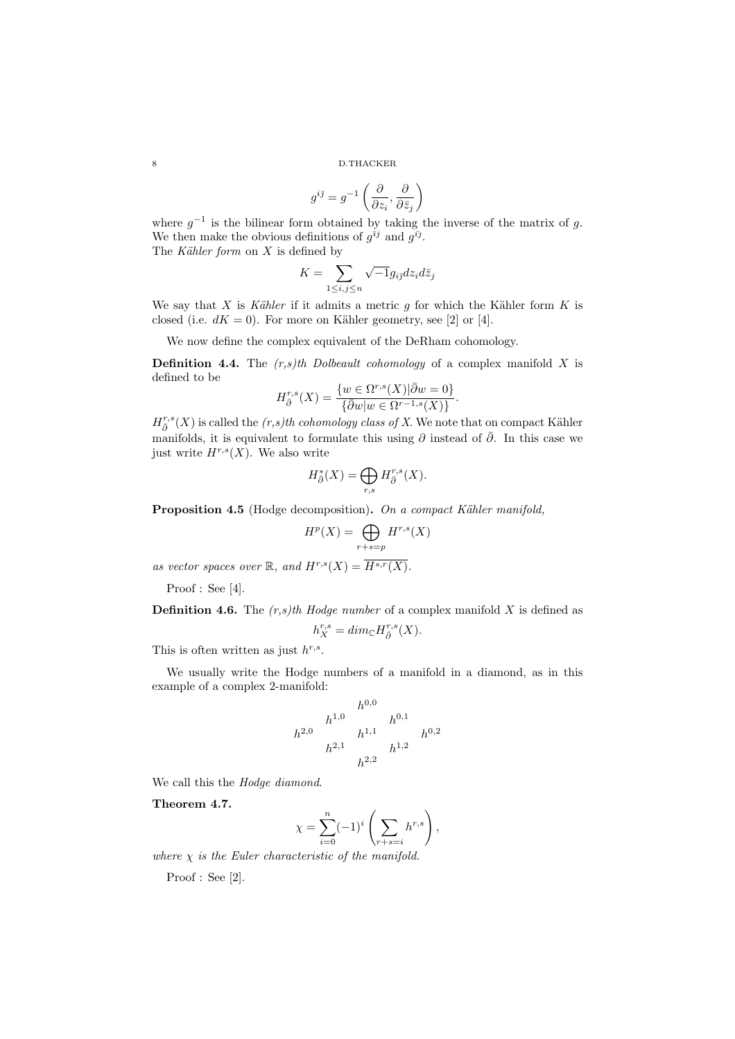$$
g^{i\bar\jmath}=g^{-1}\left(\frac{\partial}{\partial z_i},\frac{\partial}{\partial\bar z_j}\right)
$$

where  $g^{-1}$  is the bilinear form obtained by taking the inverse of the matrix of g. We then make the obvious definitions of  $g^{\bar{i}j}$  and  $g^{\bar{i}j}$ . The Kähler form on  $X$  is defined by

$$
K = \sum_{1 \le i,j \le n} \sqrt{-1} g_{i\bar{j}} dz_i d\bar{z}_j
$$

We say that X is Kähler if it admits a metric q for which the Kähler form K is closed (i.e.  $dK = 0$ ). For more on Kähler geometry, see [2] or [4].

We now define the complex equivalent of the DeRham cohomology.

**Definition 4.4.** The  $(r,s)$ th Dolbeault cohomology of a complex manifold X is defined to be

$$
H^{r,s}_{\overline{\partial}}(X) = \frac{\{w \in \Omega^{r,s}(X) | \overline{\partial}w = 0\}}{\{\overline{\partial}w | w \in \Omega^{r-1,s}(X)\}}.
$$

 $H_{\bar{\partial}}^{r,s}(X)$  is called the  $(r,s)th$  cohomology class of X. We note that on compact Kähler manifolds, it is equivalent to formulate this using  $\partial$  instead of  $\overline{\partial}$ . In this case we just write  $H^{r,s}(X)$ . We also write

$$
H^{*}_{\bar{\partial}}(X)=\bigoplus_{r,s}H^{r,s}_{\bar{\partial}}(X).
$$

Proposition 4.5 (Hodge decomposition). On a compact Kähler manifold,

$$
H^p(X) = \bigoplus_{r+s=p} H^{r,s}(X)
$$

as vector spaces over  $\mathbb{R}$ , and  $H^{r,s}(X) = \overline{H^{s,r}(X)}$ .

Proof : See [4].

**Definition 4.6.** The  $(r,s)$ th Hodge number of a complex manifold X is defined as  $h_X^{r,s} = dim_{\mathbb{C}} H_{\bar{\partial}}^{r,s}(X).$ 

$$
u_X = u \iota u \iota u_B \bar{u}
$$

This is often written as just  $h^{r,s}$ .

We usually write the Hodge numbers of a manifold in a diamond, as in this example of a complex 2-manifold:

$$
\begin{array}{ccc}\n & & h^{0,0} & & \\
 & h^{1,0} & & h^{0,1} & \\
 h^{2,0} & & h^{1,1} & & h^{0,2} \\
 & & & h^{2,2} & \\
 & & & & h^{2,2}\n\end{array}
$$

We call this the Hodge diamond.

Theorem 4.7.

$$
\chi = \sum_{i=0}^{n} (-1)^{i} \left( \sum_{r+s=i} h^{r,s} \right),
$$

where  $\chi$  is the Euler characteristic of the manifold.

Proof : See [2].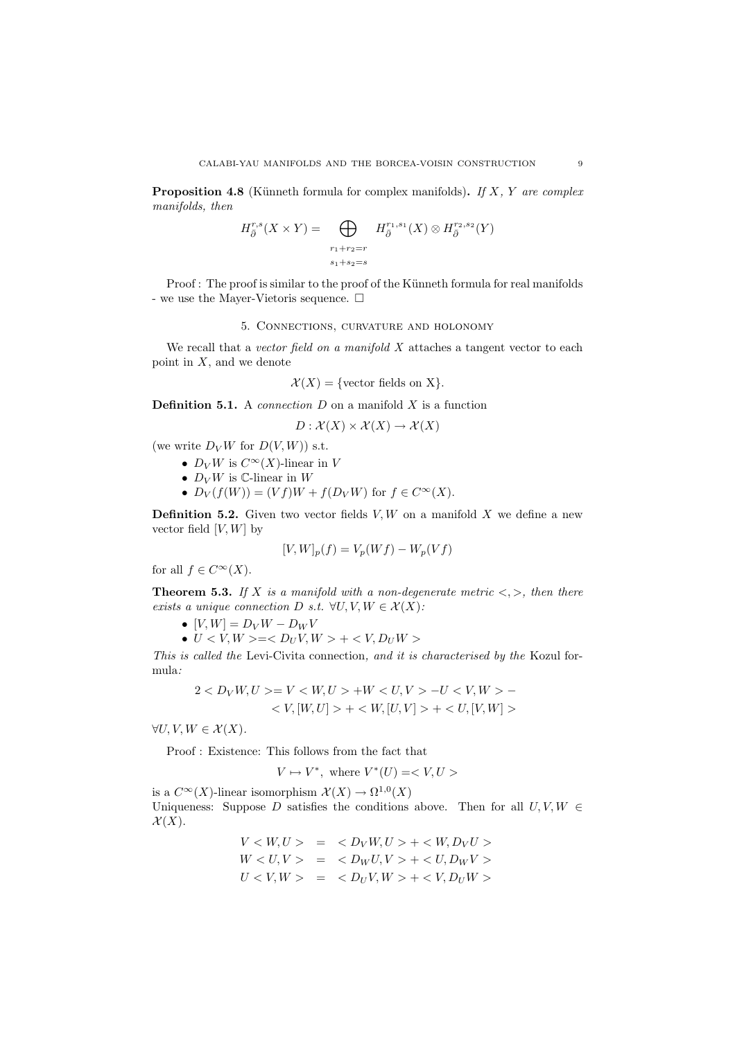**Proposition 4.8** (Künneth formula for complex manifolds). If X, Y are complex manifolds, then

$$
H^{r,s}_{\bar{\partial}}(X \times Y) = \bigoplus_{\substack{r_1+r_2=r\\s_1+s_2=s}} H^{r_1,s_1}_{\bar{\partial}}(X) \otimes H^{r_2,s_2}_{\bar{\partial}}(Y)
$$

Proof : The proof is similar to the proof of the Künneth formula for real manifolds - we use the Mayer-Vietoris sequence.  $\Box$ 

## 5. Connections, curvature and holonomy

We recall that a vector field on a manifold  $X$  attaches a tangent vector to each point in  $X$ , and we denote

$$
\mathcal{X}(X) = \{ \text{vector fields on X} \}.
$$

**Definition 5.1.** A *connection*  $D$  on a manifold  $X$  is a function

$$
D: \mathcal{X}(X) \times \mathcal{X}(X) \to \mathcal{X}(X)
$$

(we write  $D_V W$  for  $D(V, W)$ ) s.t.

- $D_V W$  is  $C^\infty(X)$ -linear in V
- $D_V W$  is  $\mathbb{C}\text{-linear}$  in  $W$
- $D_V(f(W)) = (Vf)W + f(D_V W)$  for  $f \in C^\infty(X)$ .

**Definition 5.2.** Given two vector fields  $V, W$  on a manifold  $X$  we define a new vector field  $[V, W]$  by

$$
[V,W]_p(f) = V_p(Wf) - W_p(Vf)
$$

for all  $f \in C^{\infty}(X)$ .

**Theorem 5.3.** If X is a manifold with a non-degenerate metric  $\langle \cdot, \cdot \rangle$ , then there exists a unique connection D s.t.  $\forall U, V, W \in \mathcal{X}(X)$ :

- $[V, W] = D_V W D_W V$
- $U < V, W > = < D_U V, W > + < V, D_U W >$

This is called the Levi-Civita connection, and it is characterised by the Kozul formula:

$$
\begin{aligned} 2 &< D_V W, U &> = V < W, U > + W < U, V > -U < V, W > - \\ &< V, [W, U] > + < W, [U, V] > + < U, [V, W] > \end{aligned}
$$

 $\forall U, V, W \in \mathcal{X}(X).$ 

Proof : Existence: This follows from the fact that

$$
V\mapsto V^*,\text{ where }V^*(U)=
$$

is a  $C^{\infty}(X)$ -linear isomorphism  $\mathcal{X}(X) \to \Omega^{1,0}(X)$ 

Uniqueness: Suppose D satisfies the conditions above. Then for all  $U, V, W \in$  $\mathcal{X}(X)$ .

$$
V < W, U > = < D_V W, U > + < W, D_V U > \\
W < U, V > = < D_W U, V > + < U, D_W V > \\
U < V, W > = < D_U V, W > + < V, D_U W >
$$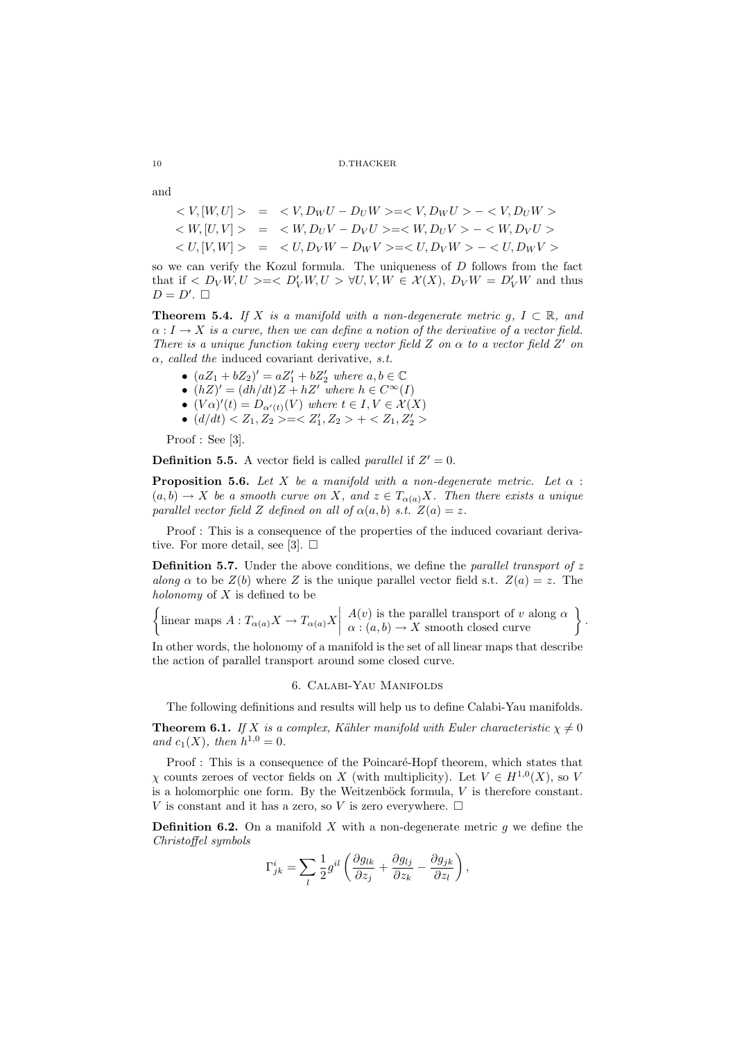and

$$
\langle V, [W, U] \rangle = \langle V, D_W U - D_U W \rangle = \langle V, D_W U \rangle - \langle V, D_U W \rangle
$$
  

$$
\langle W, [U, V] \rangle = \langle W, D_U V - D_V U \rangle = \langle W, D_U V \rangle - \langle W, D_V U \rangle
$$
  

$$
\langle U, [V, W] \rangle = \langle U, D_V W - D_W V \rangle = \langle U, D_V W \rangle - \langle U, D_W V \rangle
$$

so we can verify the Kozul formula. The uniqueness of  $D$  follows from the fact that if  $\langle D_V W, U \rangle = \langle D'_V W, U \rangle \forall U, V, W \in \mathcal{X}(X), D_V W = D'_V W$  and thus  $D = D'. \square$ 

**Theorem 5.4.** If X is a manifold with a non-degenerate metric g,  $I \subset \mathbb{R}$ , and  $\alpha : I \to X$  is a curve, then we can define a notion of the derivative of a vector field. There is a unique function taking every vector field Z on  $\alpha$  to a vector field Z' on  $\alpha$ , called the induced covariant derivative, s.t.

- $(aZ_1 + bZ_2)' = aZ_1' + bZ_2'$  where  $a, b \in \mathbb{C}$
- $(hZ)' = (dh/dt)Z + hZ'$  where  $h \in C^{\infty}(I)$
- $(V\alpha)'(t) = D_{\alpha'(t)}(V)$  where  $t \in I, V \in \mathcal{X}(X)$
- $(d/dt) < Z_1, Z_2> =  +$

Proof : See [3].

**Definition 5.5.** A vector field is called *parallel* if  $Z' = 0$ .

**Proposition 5.6.** Let X be a manifold with a non-degenerate metric. Let  $\alpha$ :  $(a,b) \to X$  be a smooth curve on X, and  $z \in T_{\alpha(a)}X$ . Then there exists a unique parallel vector field Z defined on all of  $\alpha(a,b)$  s.t.  $Z(a) = z$ .

Proof : This is a consequence of the properties of the induced covariant derivative. For more detail, see [3].  $\Box$ 

**Definition 5.7.** Under the above conditions, we define the *parallel transport of*  $z$ along  $\alpha$  to be  $Z(b)$  where Z is the unique parallel vector field s.t.  $Z(a) = z$ . The holonomy of  $X$  is defined to be

$$
\left\{\text{linear maps }A:T_{\alpha(a)}X\to T_{\alpha(a)}X\middle|\begin{array}{l}A(v)\text{ is the parallel transport of }v\text{ along }\alpha\\\alpha:(a,b)\to X\text{ smooth closed curve}\end{array}\right\}
$$

.

In other words, the holonomy of a manifold is the set of all linear maps that describe the action of parallel transport around some closed curve.

## 6. Calabi-Yau Manifolds

The following definitions and results will help us to define Calabi-Yau manifolds.

**Theorem 6.1.** If X is a complex, Kähler manifold with Euler characteristic  $\chi \neq 0$ and  $c_1(X)$ , then  $h^{1,0} = 0$ .

Proof : This is a consequence of the Poincaré-Hopf theorem, which states that  $\chi$  counts zeroes of vector fields on X (with multiplicity). Let  $V \in H^{1,0}(X)$ , so V is a holomorphic one form. By the Weitzenböck formula,  $V$  is therefore constant. V is constant and it has a zero, so V is zero everywhere.  $\Box$ 

**Definition 6.2.** On a manifold X with a non-degenerate metric g we define the Christoffel symbols

$$
\Gamma^i_{jk} = \sum_l \frac{1}{2} g^{il} \left( \frac{\partial g_{lk}}{\partial z_j} + \frac{\partial g_{lj}}{\partial z_k} - \frac{\partial g_{jk}}{\partial z_l} \right),
$$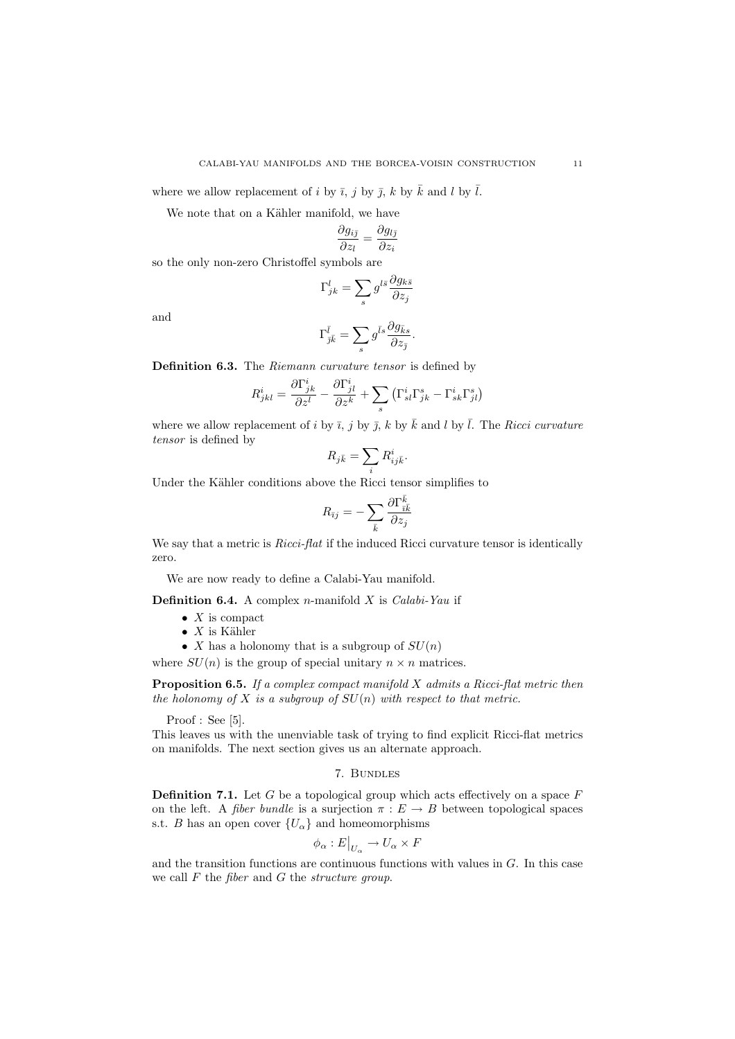where we allow replacement of i by  $\bar{i}$ , j by  $\bar{j}$ , k by  $\bar{k}$  and l by  $\bar{l}$ .

We note that on a Kähler manifold, we have

$$
\frac{\partial g_{i\bar{\jmath}}}{\partial z_l} = \frac{\partial g_{l\bar{\jmath}}}{\partial z_i}
$$

so the only non-zero Christoffel symbols are

$$
\Gamma_{jk}^l = \sum_s g^{l\bar{s}} \frac{\partial g_{k\bar{s}}}{\partial z_j}
$$

and

$$
\Gamma_{\bar{j}\bar{k}}^{\bar{l}} = \sum_s g^{\bar{l}s} \frac{\partial g_{\bar{k}s}}{\partial z_{\bar{j}}}.
$$

Definition 6.3. The Riemann curvature tensor is defined by

$$
R^i_{jkl} = \frac{\partial \Gamma^i_{jk}}{\partial z^l} - \frac{\partial \Gamma^i_{jl}}{\partial z^k} + \sum_s \left( \Gamma^i_{sl} \Gamma^s_{jk} - \Gamma^i_{sk} \Gamma^s_{jl} \right)
$$

where we allow replacement of i by  $\bar{i}$ , j by  $\bar{j}$ , k by  $\bar{k}$  and l by  $\bar{l}$ . The Ricci curvature tensor is defined by

$$
R_{j\bar k}=\sum_i R^i_{ij\bar k}.
$$

Under the Kähler conditions above the Ricci tensor simplifies to

$$
R_{\bar\imath j} = - \sum_{\bar k} \frac{\partial \Gamma^{\bar k}_{\bar\imath \bar k}}{\partial z_j}
$$

We say that a metric is *Ricci-flat* if the induced Ricci curvature tensor is identically zero.

We are now ready to define a Calabi-Yau manifold.

**Definition 6.4.** A complex *n*-manifold *X* is *Calabi-Yau* if

- $X$  is compact
- $X$  is Kähler
- X has a holonomy that is a subgroup of  $SU(n)$

where  $SU(n)$  is the group of special unitary  $n \times n$  matrices.

**Proposition 6.5.** If a complex compact manifold  $X$  admits a Ricci-flat metric then the holonomy of X is a subgroup of  $SU(n)$  with respect to that metric.

Proof : See [5].

This leaves us with the unenviable task of trying to find explicit Ricci-flat metrics on manifolds. The next section gives us an alternate approach.

### 7. Bundles

**Definition 7.1.** Let G be a topological group which acts effectively on a space  $F$ on the left. A *fiber bundle* is a surjection  $\pi : E \to B$  between topological spaces s.t. B has an open cover  ${U_\alpha}$  and homeomorphisms

$$
\phi_{\alpha}: E|_{U_{\alpha}} \to U_{\alpha} \times F
$$

and the transition functions are continuous functions with values in  $G$ . In this case we call  $F$  the *fiber* and  $G$  the *structure group*.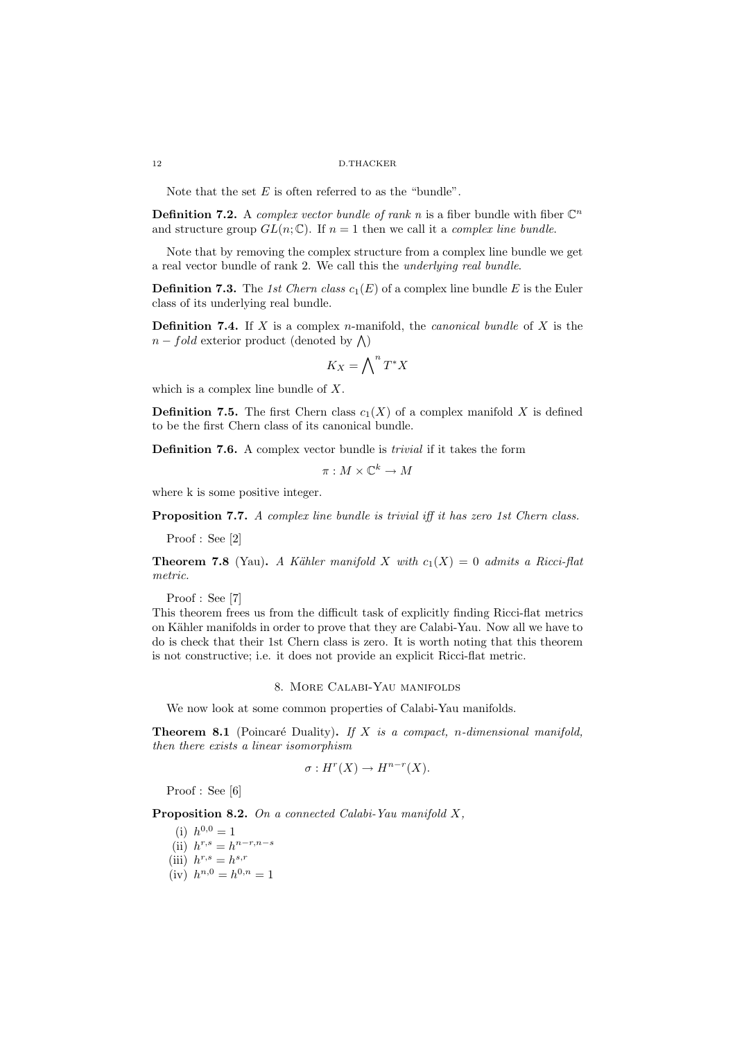Note that the set  $E$  is often referred to as the "bundle".

**Definition 7.2.** A *complex vector bundle of rank n* is a fiber bundle with fiber  $\mathbb{C}^n$ and structure group  $GL(n;\mathbb{C})$ . If  $n=1$  then we call it a *complex line bundle*.

Note that by removing the complex structure from a complex line bundle we get a real vector bundle of rank 2. We call this the underlying real bundle.

**Definition 7.3.** The 1st Chern class  $c_1(E)$  of a complex line bundle E is the Euler class of its underlying real bundle.

**Definition 7.4.** If X is a complex n-manifold, the *canonical bundle* of X is the  $n-fold$  exterior product (denoted by  $\bigwedge$ )

$$
K_X = \bigwedge\nolimits^n T^*X
$$

which is a complex line bundle of  $X$ .

**Definition 7.5.** The first Chern class  $c_1(X)$  of a complex manifold X is defined to be the first Chern class of its canonical bundle.

Definition 7.6. A complex vector bundle is trivial if it takes the form

 $\pi : M \times \mathbb{C}^k \to M$ 

where k is some positive integer.

Proposition 7.7. A complex line bundle is trivial iff it has zero 1st Chern class.

Proof : See [2]

**Theorem 7.8** (Yau). A Kähler manifold X with  $c_1(X) = 0$  admits a Ricci-flat metric.

Proof : See [7]

This theorem frees us from the difficult task of explicitly finding Ricci-flat metrics on Kähler manifolds in order to prove that they are Calabi-Yau. Now all we have to do is check that their 1st Chern class is zero. It is worth noting that this theorem is not constructive; i.e. it does not provide an explicit Ricci-flat metric.

## 8. More Calabi-Yau manifolds

We now look at some common properties of Calabi-Yau manifolds.

**Theorem 8.1** (Poincaré Duality). If  $X$  is a compact, n-dimensional manifold, then there exists a linear isomorphism

$$
\sigma: H^r(X) \to H^{n-r}(X).
$$

Proof : See [6]

Proposition 8.2. On a connected Calabi-Yau manifold X,

(i)  $h^{0,0} = 1$ (ii)  $h^{r,s} = h^{n-r,n-s}$ (iii)  $h^{r,s} = h^{s,r}$ 

(iv)  $h^{n,0} = h^{0,n} = 1$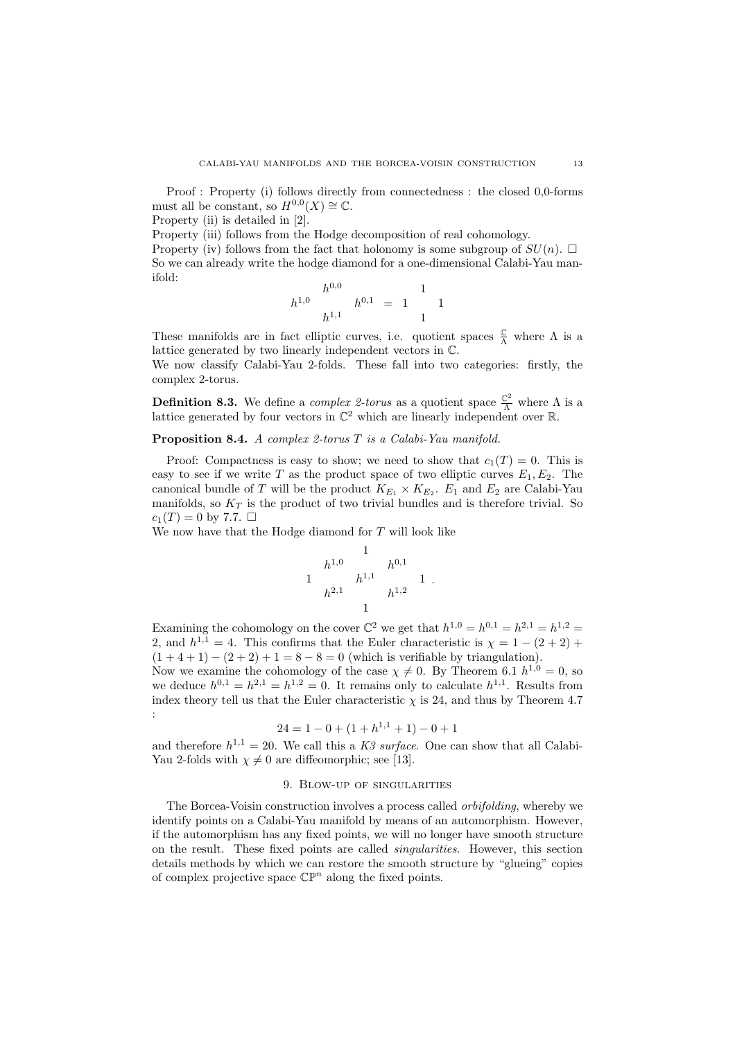Proof : Property (i) follows directly from connectedness : the closed 0,0-forms must all be constant, so  $H^{0,0}(X) \cong \mathbb{C}$ .

Property (ii) is detailed in [2].

Property (iii) follows from the Hodge decomposition of real cohomology.

Property (iv) follows from the fact that holonomy is some subgroup of  $SU(n)$ . So we can already write the hodge diamond for a one-dimensional Calabi-Yau manifold:

$$
h^{1,0} \t h^{0,0} \t h^{0,1} = 1 \t 1
$$

These manifolds are in fact elliptic curves, i.e. quotient spaces  $\frac{C}{\Lambda}$  where  $\Lambda$  is a lattice generated by two linearly independent vectors in C.

We now classify Calabi-Yau 2-folds. These fall into two categories: firstly, the complex 2-torus.

**Definition 8.3.** We define a *complex 2-torus* as a quotient space  $\frac{\mathbb{C}^2}{\Lambda}$  where  $\Lambda$  is a lattice generated by four vectors in  $\mathbb{C}^2$  which are linearly independent over  $\mathbb{R}$ .

Proposition 8.4. A complex 2-torus T is a Calabi-Yau manifold.

Proof: Compactness is easy to show; we need to show that  $c_1(T) = 0$ . This is easy to see if we write T as the product space of two elliptic curves  $E_1, E_2$ . The canonical bundle of T will be the product  $K_{E_1} \times K_{E_2}$ .  $E_1$  and  $E_2$  are Calabi-Yau manifolds, so  $K_T$  is the product of two trivial bundles and is therefore trivial. So  $c_1(T) = 0$  by 7.7.  $\Box$ 

We now have that the Hodge diamond for  $T$  will look like

$$
\begin{array}{ccc}\n & & 1 \\
h^{1,0} & & h^{0,1} \\
1 & & h^{1,1} \\
h^{2,1} & & h^{1,2}\n\end{array}
$$

.

Examining the cohomology on the cover  $\mathbb{C}^2$  we get that  $h^{1,0} = h^{0,1} = h^{2,1} = h^{1,2} =$ 2, and  $h^{1,1} = 4$ . This confirms that the Euler characteristic is  $\chi = 1 - (2 + 2) +$  $(1+4+1) - (2+2) + 1 = 8 - 8 = 0$  (which is verifiable by triangulation).

Now we examine the cohomology of the case  $\chi \neq 0$ . By Theorem 6.1  $h^{1,0} = 0$ , so we deduce  $h^{0,1} = h^{2,1} = h^{1,2} = 0$ . It remains only to calculate  $h^{1,1}$ . Results from index theory tell us that the Euler characteristic  $\chi$  is 24, and thus by Theorem 4.7 :

$$
24 = 1 - 0 + (1 + h^{1,1} + 1) - 0 + 1
$$

and therefore  $h^{1,1} = 20$ . We call this a K3 surface. One can show that all Calabi-Yau 2-folds with  $\chi \neq 0$  are diffeomorphic; see [13].

## 9. Blow-up of singularities

The Borcea-Voisin construction involves a process called orbifolding, whereby we identify points on a Calabi-Yau manifold by means of an automorphism. However, if the automorphism has any fixed points, we will no longer have smooth structure on the result. These fixed points are called singularities. However, this section details methods by which we can restore the smooth structure by "glueing" copies of complex projective space  $\mathbb{CP}^n$  along the fixed points.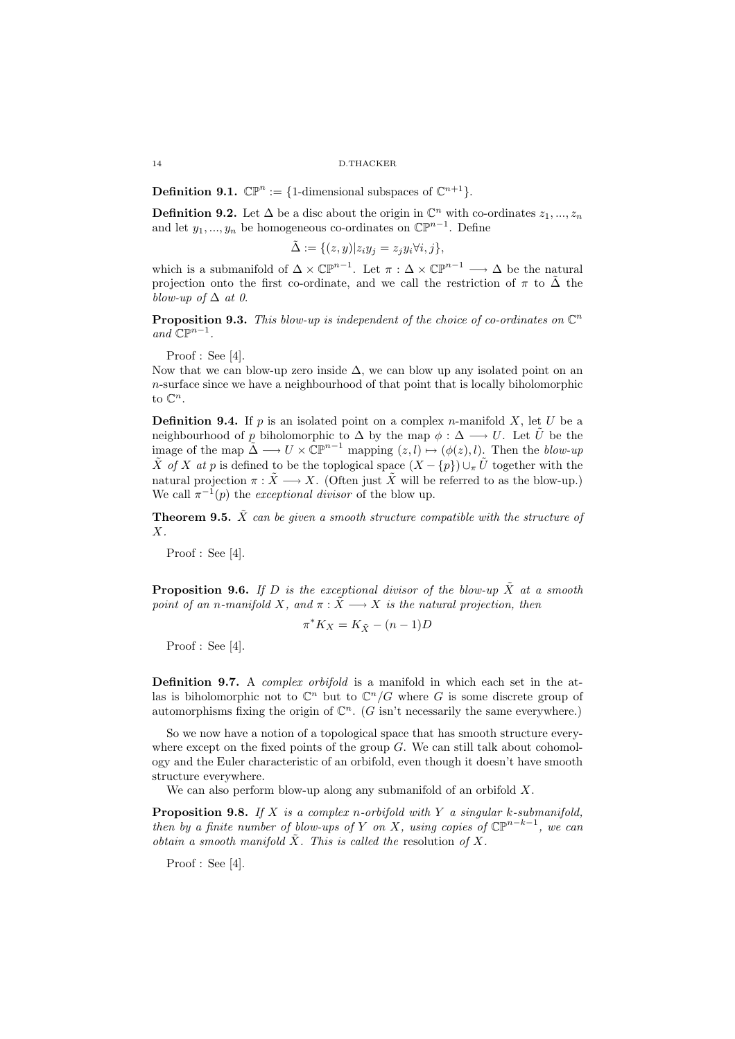**Definition 9.1.**  $\mathbb{CP}^n := \{1\text{-dimensional subspaces of }\mathbb{C}^{n+1}\}.$ 

**Definition 9.2.** Let  $\Delta$  be a disc about the origin in  $\mathbb{C}^n$  with co-ordinates  $z_1, ..., z_n$ and let  $y_1, ..., y_n$  be homogeneous co-ordinates on  $\mathbb{CP}^{n-1}$ . Define

$$
\tilde{\Delta}:=\{(z,y)|z_iy_j=z_jy_i\forall i,j\},
$$

which is a submanifold of  $\Delta \times \mathbb{CP}^{n-1}$ . Let  $\pi : \Delta \times \mathbb{CP}^{n-1} \longrightarrow \Delta$  be the natural projection onto the first co-ordinate, and we call the restriction of  $\pi$  to  $\Delta$  the blow-up of  $\Delta$  at 0.

**Proposition 9.3.** This blow-up is independent of the choice of co-ordinates on  $\mathbb{C}^n$ and  $\mathbb{CP}^{n-1}$ .

Proof : See [4].

Now that we can blow-up zero inside  $\Delta$ , we can blow up any isolated point on an n-surface since we have a neighbourhood of that point that is locally biholomorphic to  $\mathbb{C}^n$ .

**Definition 9.4.** If p is an isolated point on a complex n-manifold X, let U be a neighbourhood of p biholomorphic to  $\Delta$  by the map  $\phi : \Delta \longrightarrow U$ . Let U be the image of the map  $\tilde{\Delta} \longrightarrow U \times \mathbb{CP}^{n-1}$  mapping  $(z, l) \mapsto (\phi(z), l)$ . Then the blow-up  $\tilde{X}$  of X at p is defined to be the toplogical space  $(X - \{p\}) \cup_{\pi} U$  together with the natural projection  $\pi : \tilde{X} \longrightarrow X$ . (Often just  $\tilde{X}$  will be referred to as the blow-up.) We call  $\pi^{-1}(p)$  the *exceptional divisor* of the blow up.

**Theorem 9.5.**  $\tilde{X}$  can be given a smooth structure compatible with the structure of X.

Proof : See [4].

**Proposition 9.6.** If D is the exceptional divisor of the blow-up  $\tilde{X}$  at a smooth point of an n-manifold X, and  $\pi : \tilde{X} \longrightarrow X$  is the natural projection, then

$$
\pi^* K_X = K_{\tilde{X}} - (n-1)D
$$

Proof : See [4].

Definition 9.7. A *complex orbifold* is a manifold in which each set in the atlas is biholomorphic not to  $\mathbb{C}^n$  but to  $\mathbb{C}^n/G$  where G is some discrete group of automorphisms fixing the origin of  $\mathbb{C}^n$ . (G isn't necessarily the same everywhere.)

So we now have a notion of a topological space that has smooth structure everywhere except on the fixed points of the group  $G$ . We can still talk about cohomology and the Euler characteristic of an orbifold, even though it doesn't have smooth structure everywhere.

We can also perform blow-up along any submanifold of an orbifold  $X$ .

**Proposition 9.8.** If X is a complex n-orbifold with Y a singular k-submanifold, then by a finite number of blow-ups of Y on X, using copies of  $\mathbb{CP}^{n-k-1}$ , we can obtain a smooth manifold  $\tilde{X}$ . This is called the resolution of X.

Proof : See [4].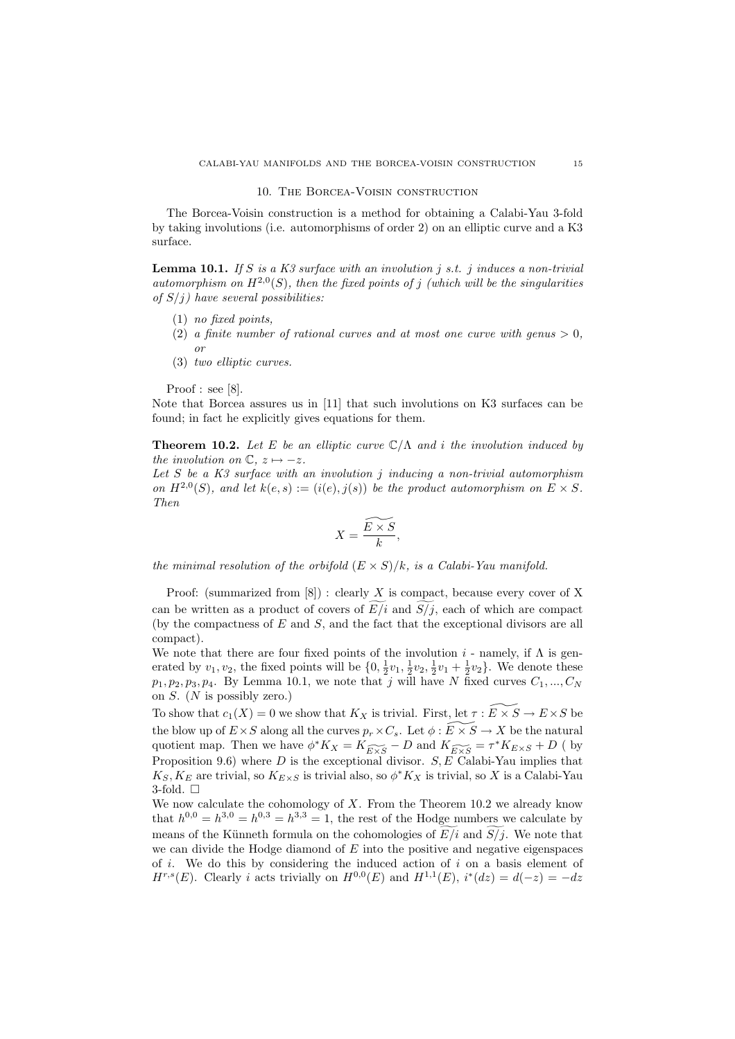#### 10. The Borcea-Voisin construction

The Borcea-Voisin construction is a method for obtaining a Calabi-Yau 3-fold by taking involutions (i.e. automorphisms of order 2) on an elliptic curve and a K3 surface.

**Lemma 10.1.** If S is a K3 surface with an involution j s.t. j induces a non-trivial automorphism on  $H^{2,0}(S)$ , then the fixed points of j (which will be the singularities of  $S(j)$  have several possibilities:

- (1) no fixed points,
- (2) a finite number of rational curves and at most one curve with genus  $> 0$ ,
- (3) two elliptic curves.

Proof : see [8].

or

Note that Borcea assures us in [11] that such involutions on K3 surfaces can be found; in fact he explicitly gives equations for them.

**Theorem 10.2.** Let E be an elliptic curve  $\mathbb{C}/\Lambda$  and i the involution induced by the involution on  $\mathbb{C}, z \mapsto -z$ .

Let  $S$  be a  $K3$  surface with an involution j inducing a non-trivial automorphism on  $H^{2,0}(S)$ , and let  $k(e, s) := (i(e), j(s))$  be the product automorphism on  $E \times S$ . Then

$$
X = \frac{\widetilde{E \times S}}{k},
$$

the minimal resolution of the orbifold  $(E \times S)/k$ , is a Calabi-Yau manifold.

Proof: (summarized from  $[8]$ ) : clearly X is compact, because every cover of X can be written as a product of covers of  $E/i$  and  $S/j$ , each of which are compact (by the compactness of  $E$  and  $S$ , and the fact that the exceptional divisors are all compact).

We note that there are four fixed points of the involution  $i$  - namely, if  $\Lambda$  is generated by  $v_1, v_2$ , the fixed points will be  $\{0, \frac{1}{2}v_1, \frac{1}{2}v_2, \frac{1}{2}v_1 + \frac{1}{2}v_2\}$ . We denote these  $p_1, p_2, p_3, p_4$ . By Lemma 10.1, we note that j will have N fixed curves  $C_1, ..., C_N$ on  $S$ . (*N* is possibly zero.)

To show that  $c_1(X) = 0$  we show that  $K_X$  is trivial. First, let  $\tau : E \times S \to E \times S$  be the blow up of  $E \times S$  along all the curves  $p_r \times C_s$ . Let  $\phi : E \times S \to X$  be the natural quotient map. Then we have  $\phi^* K_X = K_{\widetilde{E \times S}} - D$  and  $K_{\widetilde{E \times S}} = \tau^* K_{E \times S} + D$  (by Proposition 9.6) where  $D$  is the exceptional divisor.  $S, E$  Calabi-Yau implies that  $K_S, K_E$  are trivial, so  $K_{E\times S}$  is trivial also, so  $\phi^*K_X$  is trivial, so X is a Calabi-Yau 3-fold.  $\square$ 

We now calculate the cohomology of  $X$ . From the Theorem 10.2 we already know that  $h^{0,0} = h^{3,0} = h^{0,3} = h^{3,3} = 1$ , the rest of the Hodge numbers we calculate by means of the Künneth formula on the cohomologies of  $E/i$  and  $S/i$ . We note that we can divide the Hodge diamond of  $E$  into the positive and negative eigenspaces of i. We do this by considering the induced action of i on a basis element of  $H^{r,s}(E)$ . Clearly *i* acts trivially on  $H^{0,0}(E)$  and  $H^{1,1}(E)$ ,  $i^*(dz) = d(-z) = -dz$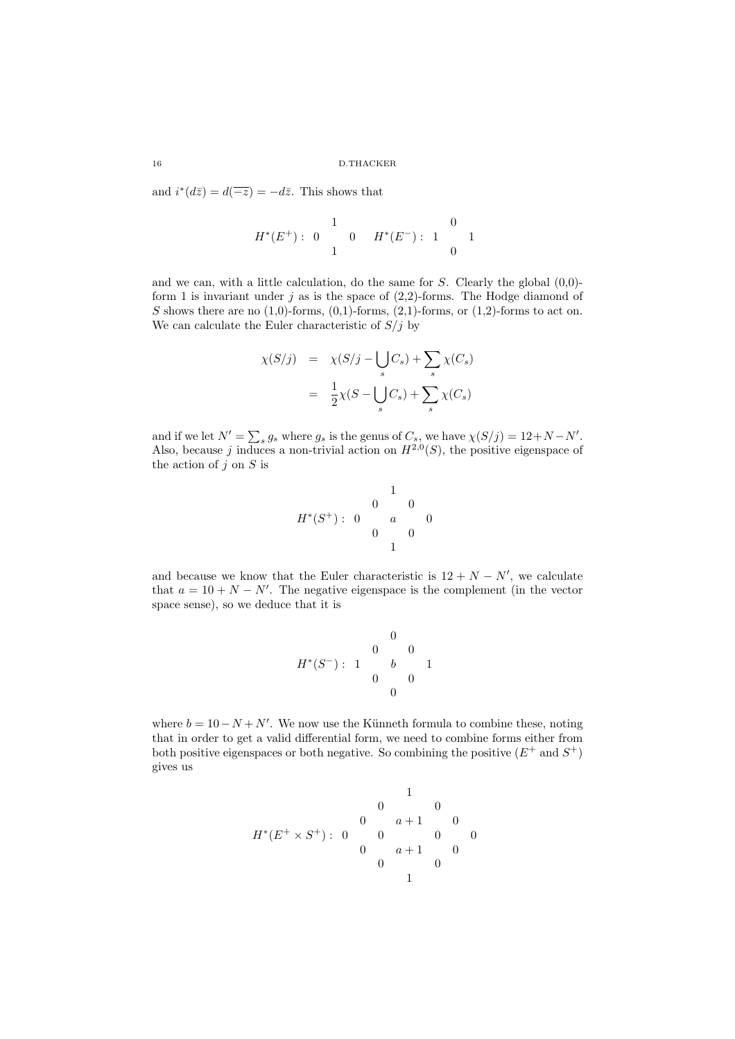and  $i^*(d\overline{z}) = d(-\overline{z}) = -d\overline{z}$ . This shows that

$$
H^*(E^+):\begin{matrix}&&1\\0&0\\1&&0\end{matrix}\quad H^*(E^-):\begin{matrix}&&0\\1&&1\\&&0\end{matrix}
$$

and we can, with a little calculation, do the same for  $S$ . Clearly the global  $(0,0)$ form 1 is invariant under j as is the space of  $(2,2)$ -forms. The Hodge diamond of S shows there are no  $(1,0)$ -forms,  $(0,1)$ -forms,  $(2,1)$ -forms, or  $(1,2)$ -forms to act on. We can calculate the Euler characteristic of  $S/j$  by

$$
\chi(S/j) = \chi(S/j - \bigcup_s C_s) + \sum_s \chi(C_s)
$$

$$
= \frac{1}{2}\chi(S - \bigcup_s C_s) + \sum_s \chi(C_s)
$$

and if we let  $N' = \sum_s g_s$  where  $g_s$  is the genus of  $C_s$ , we have  $\chi(S/j) = 12 + N - N'$ . Also, because j induces a non-trivial action on  $H^{2,0}(S)$ , the positive eigenspace of the action of  $j$  on  $S$  is

$$
H^*(S^+):\begin{matrix}&1\\0&0\\a&0\\0&0\end{matrix}
$$

and because we know that the Euler characteristic is  $12 + N - N'$ , we calculate that  $a = 10 + N - N'$ . The negative eigenspace is the complement (in the vector space sense), so we deduce that it is

$$
H^*(S^-):\begin{array}{ccccc}&&0&&\\ &&0&&0&\\1&&&b&&1\\0&&&0&&\\&&&0&&\end{array}
$$

where  $b = 10 - N + N'$ . We now use the Künneth formula to combine these, noting that in order to get a valid differential form, we need to combine forms either from both positive eigenspaces or both negative. So combining the positive  $(E^+ \text{ and } S^+)$ gives us

$$
H^*(E^+\times S^+):\begin{matrix}&1\\0&0&a+1&0\\0&a+1&0&0\\0&a+1&0\\0&0&0\end{matrix}
$$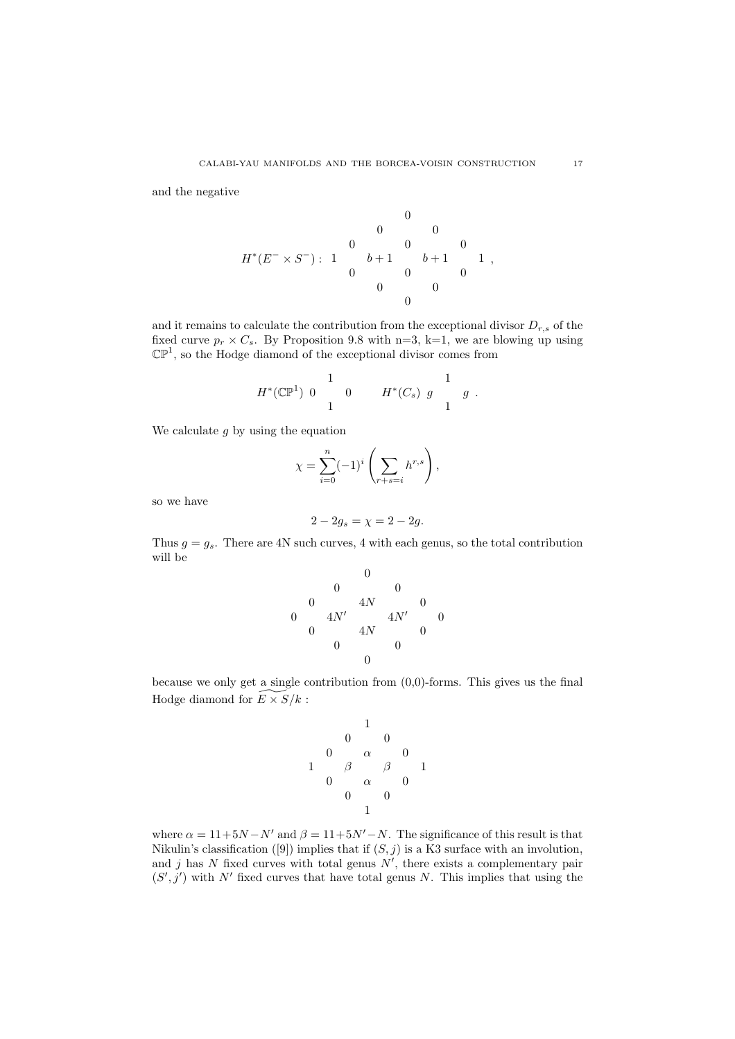and the negative

H<sup>∗</sup> (E <sup>−</sup> <sup>×</sup> <sup>S</sup> <sup>−</sup>) : 0 0 0 0 0 0 1 b + 1 b + 1 1 0 0 0 0 0 0 ,

and it remains to calculate the contribution from the exceptional divisor  $D_{r,s}$  of the fixed curve  $p_r \times C_s$ . By Proposition 9.8 with n=3, k=1, we are blowing up using  $\mathbb{CP}^1$ , so the Hodge diamond of the exceptional divisor comes from

$$
H^*(\mathbb{CP}^1) \begin{array}{ccc} & 1 & & 1 \\ 0 & 0 & H^*(C_s) g & g \\ 1 & & 1 & \end{array}.
$$

We calculate  $g$  by using the equation

$$
\chi = \sum_{i=0}^{n} (-1)^i \left( \sum_{r+s=i} h^{r,s} \right),
$$

so we have

$$
2 - 2g_s = \chi = 2 - 2g.
$$

Thus  $g = g_s$ . There are 4N such curves, 4 with each genus, so the total contribution will be

0 0 0 0 4N 0 0 4N′ 4N′ 0 0 4N 0 0 0 0

because we only get a single contribution from  $(0,0)$ -forms. This gives us the final Hodge diamond for  $\widetilde{E\times S}/k$  :

1 0 0 0 α 0 1 β β 1 0 α 0 0 0 1

where  $\alpha = 11+5N-N'$  and  $\beta = 11+5N'-N$ . The significance of this result is that Nikulin's classification ([9]) implies that if  $(S, j)$  is a K3 surface with an involution, and  $j$  has  $N$  fixed curves with total genus  $N'$ , there exists a complementary pair  $(S', j')$  with N' fixed curves that have total genus N. This implies that using the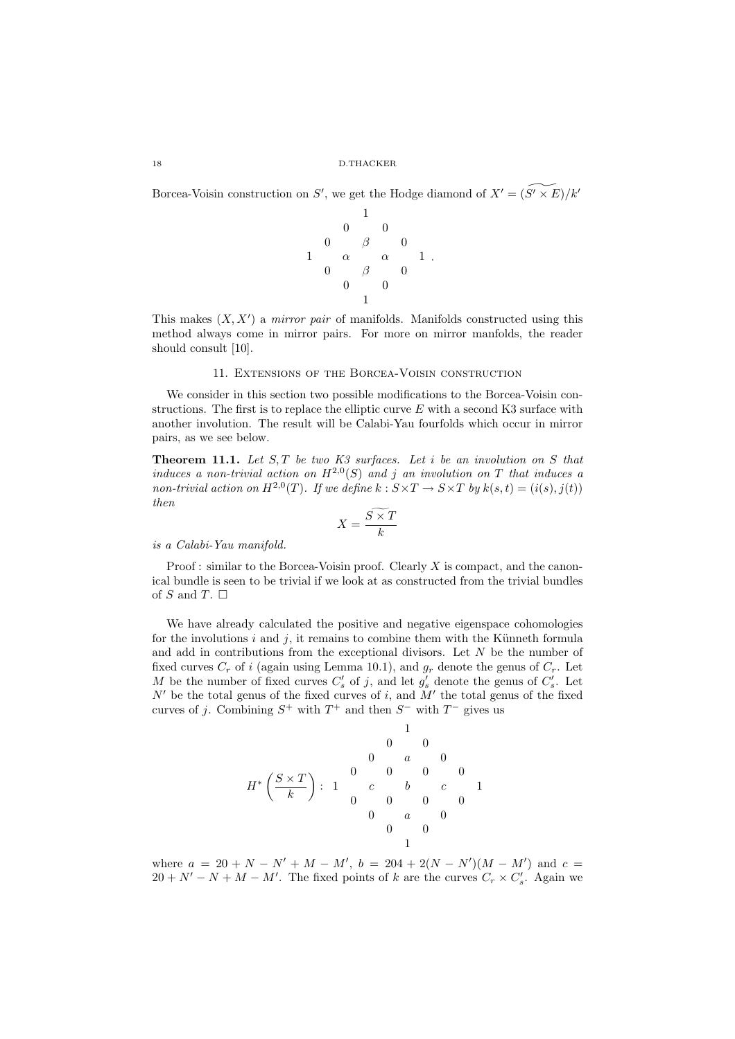Borcea-Voisin construction on S', we get the Hodge diamond of  $X' = \widetilde{(S' \times E)}/k'$ 



This makes  $(X, X')$  a *mirror pair* of manifolds. Manifolds constructed using this method always come in mirror pairs. For more on mirror manfolds, the reader should consult [10].

## 11. Extensions of the Borcea-Voisin construction

We consider in this section two possible modifications to the Borcea-Voisin constructions. The first is to replace the elliptic curve  $E$  with a second K3 surface with another involution. The result will be Calabi-Yau fourfolds which occur in mirror pairs, as we see below.

**Theorem 11.1.** Let  $S, T$  be two  $K3$  surfaces. Let i be an involution on S that induces a non-trivial action on  $H^{2,0}(S)$  and j an involution on T that induces a non-trivial action on  $H^{2,0}(T)$ . If we define  $k: S \times T \to S \times T$  by  $k(s,t) = (i(s),j(t))$ then

$$
X = \frac{S \times T}{k}
$$

is a Calabi-Yau manifold.

Proof : similar to the Borcea-Voisin proof. Clearly  $X$  is compact, and the canonical bundle is seen to be trivial if we look at as constructed from the trivial bundles of S and T.  $\Box$ 

We have already calculated the positive and negative eigenspace cohomologies for the involutions  $i$  and  $j$ , it remains to combine them with the Künneth formula and add in contributions from the exceptional divisors. Let  $N$  be the number of fixed curves  $C_r$  of i (again using Lemma 10.1), and  $g_r$  denote the genus of  $C_r$ . Let M be the number of fixed curves  $C'_s$  of j, and let  $g'_s$  denote the genus of  $C'_s$ . Let  $N'$  be the total genus of the fixed curves of i, and  $M'$  the total genus of the fixed curves of j. Combining  $S^+$  with  $T^+$  and then  $S^-$  with  $T^-$  gives us

$$
H^*\left(\frac{S\times T}{k}\right): \begin{array}{cccccc} & & & & 1 & & & \\ & & & & 0 & & 0 & & \\ & & & 0 & & a & & 0 & \\ & & & c & & b & & c & & 1 \\ & & & 0 & & 0 & & 0 & & 0 \\ & & & & 0 & & 0 & & 0 & & \\ & & & & & 0 & & a & & 0 & & \\ & & & & & & 0 & & 0 & & 1 \end{array}
$$

where  $a = 20 + N - N' + M - M'$ ,  $b = 204 + 2(N - N')(M - M')$  and  $c =$  $20 + N' - N + M - M'$ . The fixed points of k are the curves  $C_r \times C'_s$ . Again we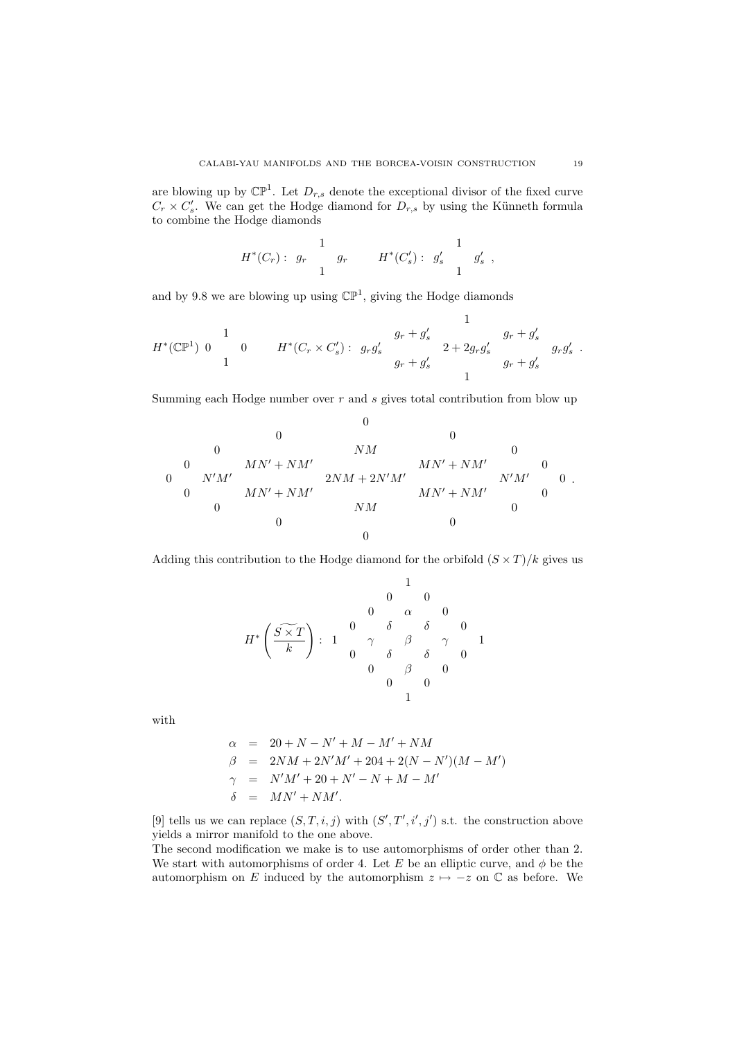are blowing up by  $\mathbb{CP}^1$ . Let  $D_{r,s}$  denote the exceptional divisor of the fixed curve  $C_r \times C'_s$ . We can get the Hodge diamond for  $D_{r,s}$  by using the Künneth formula to combine the Hodge diamonds

$$
H^*(C_r): g_r \begin{array}{ccccc} & 1 & & 1 \\ & g_r & & H^*(C'_s): g'_s & & g'_s \\ & 1 & & & 1 \end{array}
$$

and by 9.8 we are blowing up using  $\mathbb{CP}^1$ , giving the Hodge diamonds

$$
H^{*}(\mathbb{CP}^{1}) = \begin{array}{ccccc} & & & & 1 & & \\ 1 & & & g_{r} + g'_{s} & & g_{r} + g'_{s} \\ 1 & & & & g_{r} + g'_{s} & & g_{r} + g'_{s} \\ & & & & g_{r} + g'_{s} & & g_{r} + g'_{s} \end{array} \quad \begin{array}{c} 1 \\ g_{r} + g'_{s} & & g_{r} + g'_{s} & g_{r}g'_{s} \\ 1 & & & g_{r} + g'_{s} \end{array}
$$

Summing each Hodge number over  $r$  and  $s$  gives total contribution from blow up

0 0 0 0 NM 0 0 MN′ + NM′ MN′ + NM′ 0 0 N′M′ 2NM + 2N′M′ N′M′ 0 0 MN′ + NM′ MN′ + NM′ 0 0 NM 0 0 0 0 .

Adding this contribution to the Hodge diamond for the orbifold  $(S \times T)/k$  gives us

$$
H^* \left( \frac{\widetilde{S \times T}}{k} \right): \begin{array}{cccccc} & & & & & 1 & & & \\ & & & & 0 & & 0 & & \\ & & & & 0 & & \alpha & & 0 & \\ 0 & & \delta & & \delta & & \delta & & 0 & \\ & & & 0 & & \delta & & \delta & & 0 \\ & & & & 0 & & \beta & & 0 & \\ & & & & & 0 & & 0 & & \\ & & & & & & 1 & & & \\ \end{array}
$$

with

$$
\alpha = 20 + N - N' + M - M' + NM \n\beta = 2NM + 2N'M' + 204 + 2(N - N')(M - M') \n\gamma = N'M' + 20 + N' - N + M - M' \n\delta = MN' + NM'.
$$

[9] tells us we can replace  $(S, T, i, j)$  with  $(S', T', i', j')$  s.t. the construction above yields a mirror manifold to the one above.

The second modification we make is to use automorphisms of order other than 2. We start with automorphisms of order 4. Let E be an elliptic curve, and  $\phi$  be the automorphism on E induced by the automorphism  $z \mapsto -z$  on  $\mathbb C$  as before. We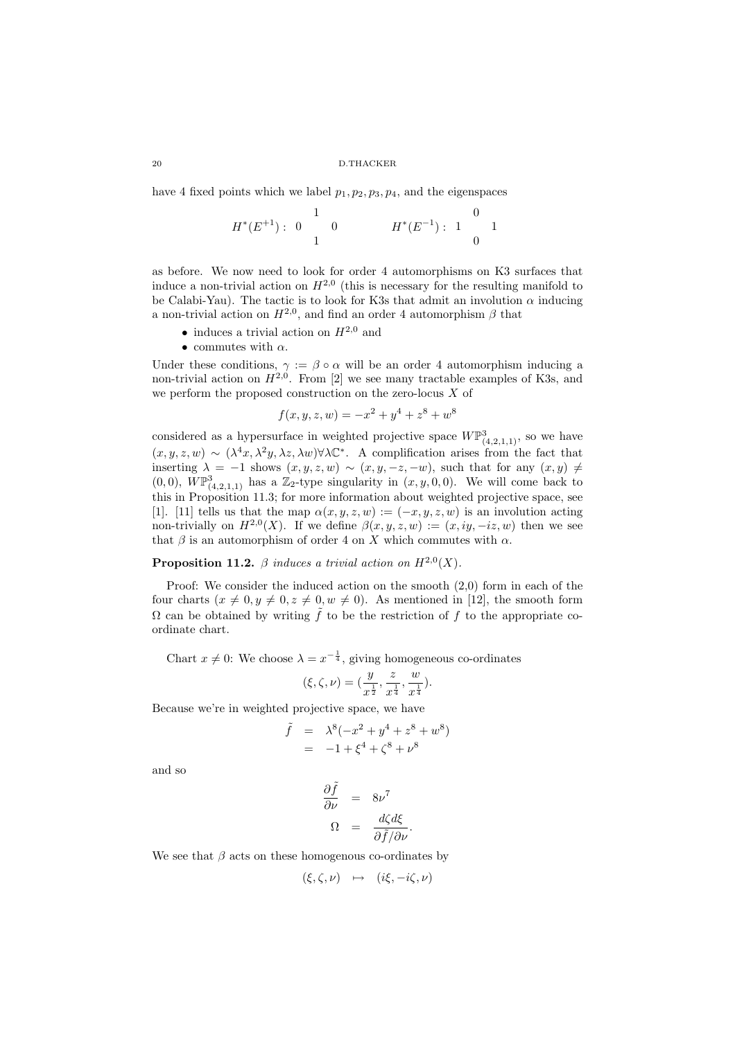have 4 fixed points which we label  $p_1, p_2, p_3, p_4$ , and the eigenspaces

$$
H^*(E^{+1}): \begin{array}{c} 1\\0\\1 \end{array} \qquad \qquad H^*(E^{-1}): \begin{array}{c} 0\\1\\0 \end{array} \qquad \qquad 1
$$

as before. We now need to look for order 4 automorphisms on K3 surfaces that induce a non-trivial action on  $H^{2,0}$  (this is necessary for the resulting manifold to be Calabi-Yau). The tactic is to look for K3s that admit an involution  $\alpha$  inducing a non-trivial action on  $H^{2,0}$ , and find an order 4 automorphism  $\beta$  that

- induces a trivial action on  $H^{2,0}$  and
- commutes with  $\alpha$ .

Under these conditions,  $\gamma := \beta \circ \alpha$  will be an order 4 automorphism inducing a non-trivial action on  $H^{2,0}$ . From [2] we see many tractable examples of K3s, and we perform the proposed construction on the zero-locus  $X$  of

$$
f(x, y, z, w) = -x^2 + y^4 + z^8 + w^8
$$

considered as a hypersurface in weighted projective space  $W\mathbb{P}^3_{(4,2,1,1)}$ , so we have  $(x, y, z, w)$  ∼  $(\lambda^4 x, \lambda^2 y, \lambda z, \lambda w)$ ∀ $\lambda$ C<sup>\*</sup>. A complification arises from the fact that inserting  $\lambda = -1$  shows  $(x, y, z, w) \sim (x, y, -z, -w)$ , such that for any  $(x, y) \neq$  $(0,0)$ ,  $W\mathbb{P}^3_{(4,2,1,1)}$  has a  $\mathbb{Z}_2$ -type singularity in  $(x,y,0,0)$ . We will come back to this in Proposition 11.3; for more information about weighted projective space, see [1]. [11] tells us that the map  $\alpha(x, y, z, w) := (-x, y, z, w)$  is an involution acting non-trivially on  $H^{2,0}(X)$ . If we define  $\beta(x,y,z,w) := (x,iy,-iz,w)$  then we see that  $\beta$  is an automorphism of order 4 on X which commutes with  $\alpha$ .

## **Proposition 11.2.**  $\beta$  induces a trivial action on  $H^{2,0}(X)$ .

Proof: We consider the induced action on the smooth (2,0) form in each of the four charts  $(x \neq 0, y \neq 0, z \neq 0, w \neq 0)$ . As mentioned in [12], the smooth form  $\Omega$  can be obtained by writing  $\tilde{f}$  to be the restriction of f to the appropriate coordinate chart.

Chart  $x \neq 0$ : We choose  $\lambda = x^{-\frac{1}{4}}$ , giving homogeneous co-ordinates

$$
(\xi, \zeta, \nu) = (\frac{y}{x^{\frac{1}{2}}}, \frac{z}{x^{\frac{1}{4}}}, \frac{w}{x^{\frac{1}{4}}}).
$$

Because we're in weighted projective space, we have  $\tilde{f}$ 

$$
= \lambda^{8}(-x^{2} + y^{4} + z^{8} + w^{8})
$$
  
= -1 + \xi^{4} + \zeta^{8} + v^{8}

and so

$$
\frac{\partial \tilde{f}}{\partial \nu} = 8\nu^7
$$

$$
\Omega = \frac{d\zeta d\xi}{\partial \tilde{f}/\partial \nu}
$$

.

We see that  $\beta$  acts on these homogenous co-ordinates by

$$
(\xi, \zeta, \nu) \mapsto (i\xi, -i\zeta, \nu)
$$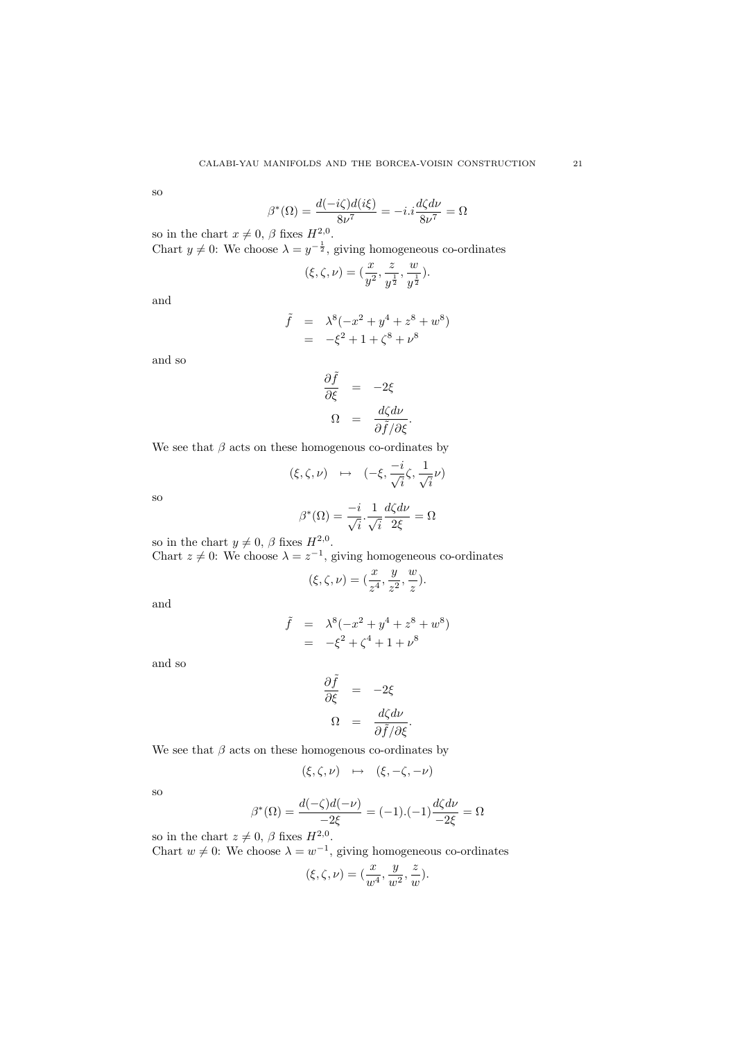so

$$
\beta^*(\Omega) = \frac{d(-i\zeta)d(i\xi)}{8\nu^7} = -i.i\frac{d\zeta d\nu}{8\nu^7} = \Omega
$$

so in the chart  $x \neq 0$ ,  $\beta$  fixes  $H^{2,0}_{-1}$ .

Chart  $y \neq 0$ : We choose  $\lambda = y^{-\frac{1}{2}}$ , giving homogeneous co-ordinates

$$
(\xi, \zeta, \nu) = (\frac{x}{y^2}, \frac{z}{y^{\frac{1}{2}}}, \frac{w}{y^{\frac{1}{2}}}).
$$

and

$$
\tilde{f} = \lambda^8 (-x^2 + y^4 + z^8 + w^8) \n= -\xi^2 + 1 + \zeta^8 + v^8
$$

and so

$$
\frac{\partial \tilde{f}}{\partial \xi} = -2\xi
$$
  

$$
\Omega = \frac{d\zeta d\nu}{\partial \tilde{f}/\partial \xi}.
$$

We see that  $\beta$  acts on these homogenous co-ordinates by

$$
(\xi, \zeta, \nu) \mapsto (-\xi, \frac{-i}{\sqrt{i}}\zeta, \frac{1}{\sqrt{i}}\nu)
$$

$$
\beta^*(\Omega) = \frac{-i}{\sqrt{i}}, \frac{1}{\sqrt{i}}\frac{d\zeta d\nu}{2\xi} = \Omega
$$

so

$$
y \neq 0
$$
,  $\beta$  fixes  $H^{2,0}$ .

Chart  $z \neq 0$ : We choose  $\lambda = z^{-1}$ , giving homogeneous co-ordinates

$$
(\xi, \zeta, \nu) = (\frac{x}{z^4}, \frac{y}{z^2}, \frac{w}{z}).
$$

and

so in the chart

$$
\tilde{f} = \lambda^{8}(-x^{2} + y^{4} + z^{8} + w^{8})
$$
  
=  $-\xi^{2} + \zeta^{4} + 1 + \nu^{8}$ 

and so

$$
\frac{\partial \tilde{f}}{\partial \xi} = -2\xi
$$

$$
\Omega = \frac{d\zeta d\nu}{\partial \tilde{f}/\partial \xi}
$$

.

We see that  $\beta$  acts on these homogenous co-ordinates by

$$
(\xi, \zeta, \nu) \mapsto (\xi, -\zeta, -\nu)
$$

so

$$
\beta^*(\Omega) = \frac{d(-\zeta)d(-\nu)}{-2\xi} = (-1).(-1)\frac{d\zeta d\nu}{-2\xi} = \Omega
$$

so in the chart  $z \neq 0$ ,  $\beta$  fixes  $H^{2,0}$ .

Chart  $w \neq 0$ : We choose  $\lambda = w^{-1}$ , giving homogeneous co-ordinates

$$
(\xi, \zeta, \nu) = (\frac{x}{w^4}, \frac{y}{w^2}, \frac{z}{w}).
$$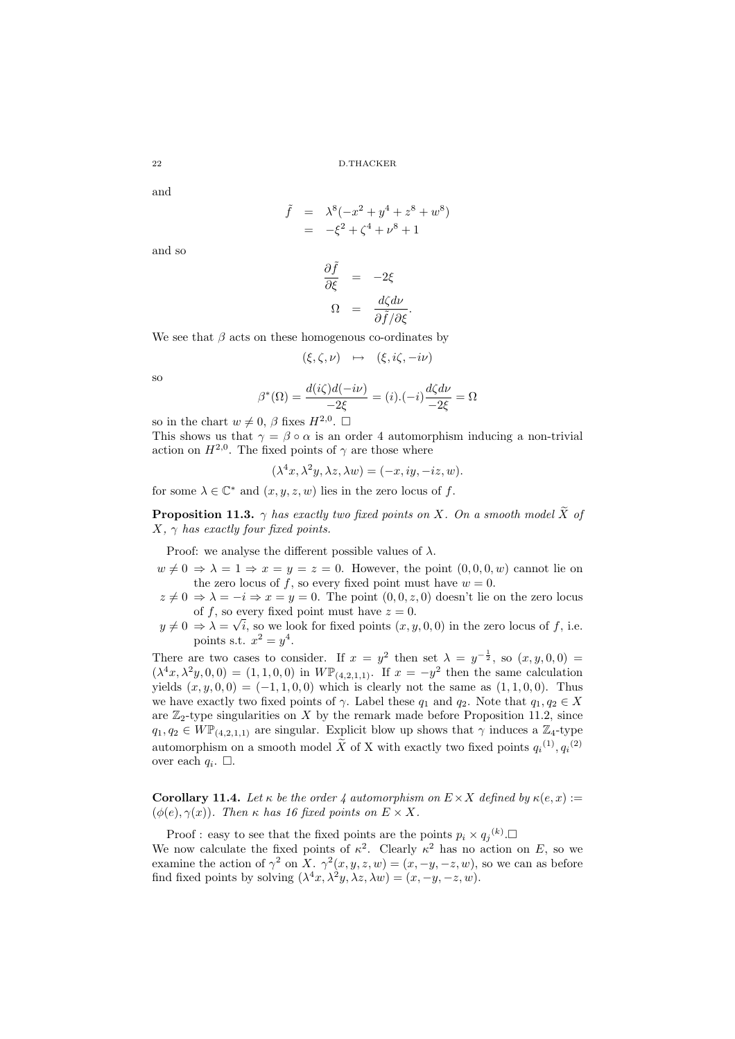and

$$
\tilde{f} = \lambda^8 (-x^2 + y^4 + z^8 + w^8)
$$
  
=  $-\xi^2 + \zeta^4 + v^8 + 1$ 

and so

$$
\frac{\partial \tilde{f}}{\partial \xi} = -2\xi
$$

$$
\Omega = \frac{d\zeta d\nu}{\partial \tilde{f}/\partial \xi}
$$

.

We see that  $\beta$  acts on these homogenous co-ordinates by

$$
(\xi,\zeta,\nu)\ \mapsto\ (\xi,i\zeta,-i\nu)
$$

so

$$
\beta^*(\Omega) = \frac{d(i\zeta)d(-i\nu)}{-2\xi} = (i).(-i)\frac{d\zeta d\nu}{-2\xi} = \Omega
$$

so in the chart  $w \neq 0$ ,  $\beta$  fixes  $H^{2,0}$ .  $\square$ 

This shows us that  $\gamma = \beta \circ \alpha$  is an order 4 automorphism inducing a non-trivial action on  $H^{2,0}$ . The fixed points of  $\gamma$  are those where

$$
(\lambda^4 x, \lambda^2 y, \lambda z, \lambda w) = (-x, iy, -iz, w).
$$

for some  $\lambda \in \mathbb{C}^*$  and  $(x, y, z, w)$  lies in the zero locus of  $f$ .

**Proposition 11.3.**  $\gamma$  has exactly two fixed points on X. On a smooth model X of  $X, \gamma$  has exactly four fixed points.

Proof: we analyse the different possible values of  $\lambda$ .

- $w \neq 0 \Rightarrow \lambda = 1 \Rightarrow x = y = z = 0$ . However, the point  $(0, 0, 0, w)$  cannot lie on the zero locus of f, so every fixed point must have  $w = 0$ .
- $z \neq 0 \Rightarrow \lambda = -i \Rightarrow x = y = 0$ . The point  $(0, 0, z, 0)$  doesn't lie on the zero locus of f, so every fixed point must have  $z = 0$ .
- $y \neq 0 \Rightarrow \lambda = \sqrt{i}$ , so we look for fixed points  $(x, y, 0, 0)$  in the zero locus of f, i.e. points s.t.  $x^2 = y^4$ .

There are two cases to consider. If  $x = y^2$  then set  $\lambda = y^{-\frac{1}{2}}$ , so  $(x, y, 0, 0) =$  $(\lambda^4 x, \lambda^2 y, 0, 0) = (1, 1, 0, 0)$  in  $W\mathbb{P}_{(4,2,1,1)}$ . If  $x = -y^2$  then the same calculation yields  $(x, y, 0, 0) = (-1, 1, 0, 0)$  which is clearly not the same as  $(1, 1, 0, 0)$ . Thus we have exactly two fixed points of  $\gamma$ . Label these  $q_1$  and  $q_2$ . Note that  $q_1, q_2 \in X$ are  $\mathbb{Z}_2$ -type singularities on X by the remark made before Proposition 11.2, since  $q_1, q_2 \in W\mathbb{P}_{(4,2,1,1)}$  are singular. Explicit blow up shows that  $\gamma$  induces a  $\mathbb{Z}_4$ -type automorphism on a smooth model  $\tilde{X}$  of X with exactly two fixed points  $q_i^{(1)}, q_i^{(2)}$ over each  $q_i$ .  $\Box$ .

**Corollary 11.4.** Let  $\kappa$  be the order 4 automorphism on  $E \times X$  defined by  $\kappa(e, x) :=$  $(\phi(e), \gamma(x))$ . Then  $\kappa$  has 16 fixed points on  $E \times X$ .

Proof : easy to see that the fixed points are the points  $p_i \times q_j^{(k)}$ . We now calculate the fixed points of  $\kappa^2$ . Clearly  $\kappa^2$  has no action on E, so we examine the action of  $\gamma^2$  on X.  $\gamma^2(x,y,z,w) = (x, -y, -z,w)$ , so we can as before find fixed points by solving  $(\lambda^4 x, \lambda^2 y, \lambda z, \lambda w) = (x, -y, -z, w)$ .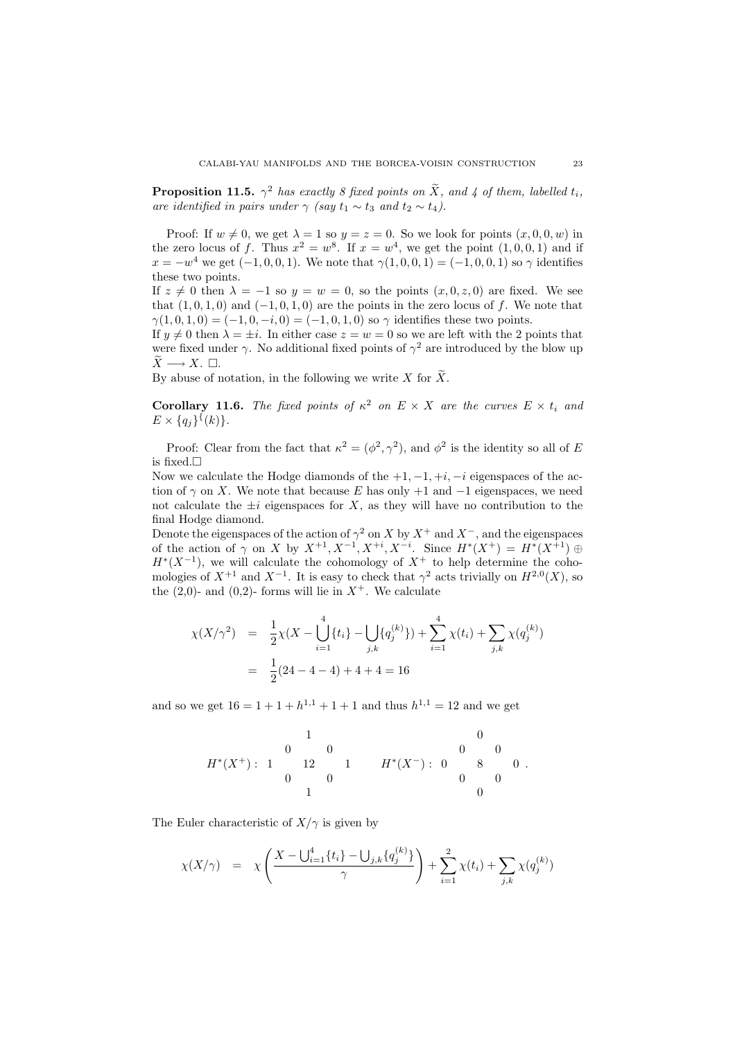**Proposition 11.5.**  $\gamma^2$  has exactly 8 fixed points on  $\tilde{X}$ , and 4 of them, labelled  $t_i$ , are identified in pairs under  $\gamma$  (say  $t_1 \sim t_3$  and  $t_2 \sim t_4$ ).

Proof: If  $w \neq 0$ , we get  $\lambda = 1$  so  $y = z = 0$ . So we look for points  $(x, 0, 0, w)$  in the zero locus of f. Thus  $x^2 = w^8$ . If  $x = w^4$ , we get the point  $(1,0,0,1)$  and if  $x = -w^4$  we get  $(-1, 0, 0, 1)$ . We note that  $\gamma(1, 0, 0, 1) = (-1, 0, 0, 1)$  so  $\gamma$  identifies these two points.

If  $z \neq 0$  then  $\lambda = -1$  so  $y = w = 0$ , so the points  $(x, 0, z, 0)$  are fixed. We see that  $(1, 0, 1, 0)$  and  $(-1, 0, 1, 0)$  are the points in the zero locus of f. We note that  $\gamma(1,0,1,0) = (-1,0,-i,0) = (-1,0,1,0)$  so  $\gamma$  identifies these two points.

If  $y \neq 0$  then  $\lambda = \pm i$ . In either case  $z = w = 0$  so we are left with the 2 points that were fixed under  $\gamma$ . No additional fixed points of  $\gamma^2$  are introduced by the blow up  $X \longrightarrow X$ .  $\Box$ .

By abuse of notation, in the following we write X for  $\widetilde{X}$ .

**Corollary 11.6.** The fixed points of  $\kappa^2$  on  $E \times X$  are the curves  $E \times t_i$  and  $E \times \{q_j\}^{\{k\}}.$ 

Proof: Clear from the fact that  $\kappa^2 = (\phi^2, \gamma^2)$ , and  $\phi^2$  is the identity so all of E is fixed.  $\square$ 

Now we calculate the Hodge diamonds of the  $+1, -1, +i, -i$  eigenspaces of the action of  $\gamma$  on X. We note that because E has only +1 and -1 eigenspaces, we need not calculate the  $\pm i$  eigenspaces for X, as they will have no contribution to the final Hodge diamond.

Denote the eigenspaces of the action of  $\gamma^2$  on X by  $X^+$  and  $X^-$ , and the eigenspaces of the action of  $\gamma$  on X by  $X^{+1}$ ,  $X^{-1}$ ,  $X^{+i}$ ,  $X^{-i}$ . Since  $H^*(X^+) = H^*(X^{+1}) \oplus$  $H^*(X^{-1})$ , we will calculate the cohomology of  $X^+$  to help determine the cohomologies of  $X^{+1}$  and  $X^{-1}$ . It is easy to check that  $\gamma^2$  acts trivially on  $H^{2,0}(X)$ , so the  $(2,0)$ - and  $(0,2)$ - forms will lie in  $X^+$ . We calculate

$$
\chi(X/\gamma^2) = \frac{1}{2}\chi(X - \bigcup_{i=1}^4 \{t_i\} - \bigcup_{j,k} \{q_j^{(k)}\}) + \sum_{i=1}^4 \chi(t_i) + \sum_{j,k} \chi(q_j^{(k)})
$$

$$
= \frac{1}{2}(24 - 4 - 4) + 4 + 4 = 16
$$

and so we get  $16 = 1 + 1 + h^{1,1} + 1 + 1$  and thus  $h^{1,1} = 12$  and we get

$$
H^*(X^+) : \begin{array}{cccccc} & & & 1 & & & & 0 \\ & & 0 & & 0 & & & 0 & 0 \\ & & 12 & & 1 & & H^*(X^-) : & 0 & 8 & 0 \\ & & 0 & & 0 & & & 0 \\ & & & 1 & & & & 0 \end{array}.
$$

The Euler characteristic of  $X/\gamma$  is given by

$$
\chi(X/\gamma) = \chi\left(\frac{X - \bigcup_{i=1}^{4} \{t_i\} - \bigcup_{j,k} \{q_j^{(k)}\}}{\gamma}\right) + \sum_{i=1}^{2} \chi(t_i) + \sum_{j,k} \chi(q_j^{(k)})
$$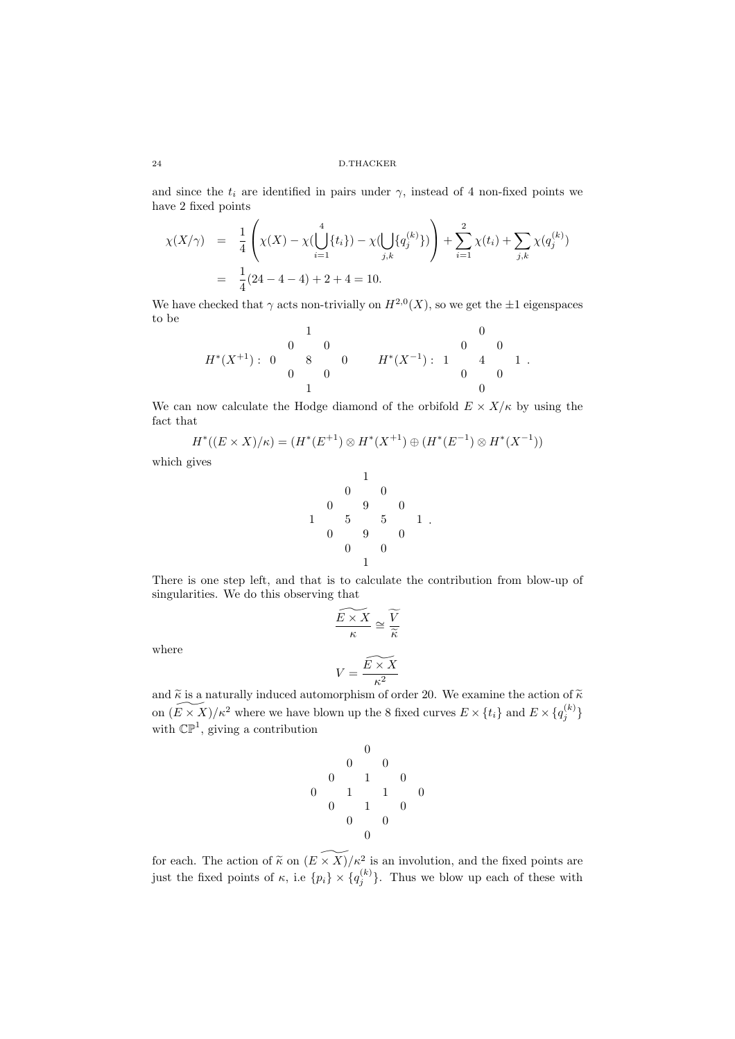and since the  $t_i$  are identified in pairs under  $\gamma$ , instead of 4 non-fixed points we have 2 fixed points

$$
\chi(X/\gamma) = \frac{1}{4} \left( \chi(X) - \chi(\bigcup_{i=1}^{4} \{t_i\}) - \chi(\bigcup_{j,k} \{q_j^{(k)}\}) \right) + \sum_{i=1}^{2} \chi(t_i) + \sum_{j,k} \chi(q_j^{(k)})
$$
  
=  $\frac{1}{4} (24 - 4 - 4) + 2 + 4 = 10.$ 

We have checked that  $\gamma$  acts non-trivially on  $H^{2,0}(X)$ , so we get the  $\pm 1$  eigenspaces to be

$$
H^*(X^{+1}): \begin{array}{ccccccccc} & & & & & 1 & & & & 0 \\ & & 0 & & 0 & & & & 0 & 0 \\ & & 0 & & 8 & & 0 & & H^*(X^{-1}): & 1 & 4 & 1 \\ & & & 0 & & & 0 & & & 0 \\ & & & 1 & & & & & 0 & & 0 \end{array}.
$$

We can now calculate the Hodge diamond of the orbifold  $E \times X/\kappa$  by using the fact that

 $H^*((E \times X)/\kappa) = (H^*(E^{+1}) \otimes H^*(X^{+1}) \oplus (H^*(E^{-1}) \otimes H^*(X^{-1}))$ 

which gives

$$
\begin{array}{@{}lllllllllll@{}} & & & 1 & & & \\ & & 0 & & 0 & & & \\ & & 0 & & 9 & & 0 & & \\ 1 & & 5 & & 5 & & 1 & & \\ & 0 & & 9 & & 0 & & \\ & & 0 & & 0 & & & \\ & & & 1 & & & & \end{array}.
$$

There is one step left, and that is to calculate the contribution from blow-up of singularities. We do this observing that

where

$$
\frac{\widetilde{E \times X}}{\kappa} \cong \frac{\widetilde{V}}{\widetilde{\kappa}}
$$

$$
V = \frac{\widetilde{E \times X}}{\kappa^2}
$$

and  $\tilde{\kappa}$  is a naturally induced automorphism of order 20. We examine the action of  $\tilde{\kappa}$ on  $\widetilde{(E \times X)}/\kappa^2$  where we have blown up the 8 fixed curves  $E \times \{t_i\}$  and  $E \times \{q_j^{(k)}\}$ with  $\mathbb{CP}^1$ , giving a contribution

$$
\begin{array}{cccc} & & & 0 & & \\ & & 0 & & 0 & \\ 0 & & 1 & & 0 & \\ 0 & & 1 & & 1 & & 0 \\ & 0 & & 1 & & 0 & \\ & & 0 & & 0 & & \\ & & & 0 & & & \\ & & & & 0 & & & \end{array}
$$

for each. The action of  $\widetilde{\kappa}$  on  $(E \times X)/\kappa^2$  is an involution, and the fixed points are just the fixed points of  $\kappa$ , i.e  $\{p_i\} \times \{q_j^{(k)}\}$ . Thus we blow up each of these with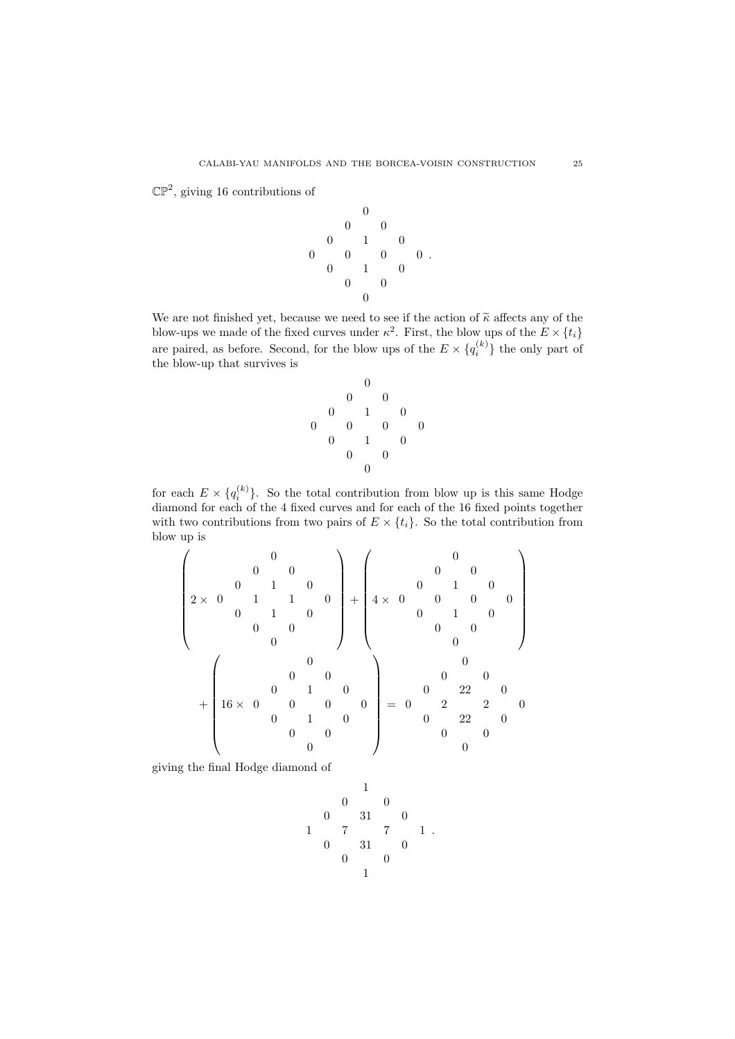$\mathbb{CP}^2$ , giving 16 contributions of

$$
\begin{array}{cccccc} & & & 0 & & \\ & & 0 & & 0 & & \\ & & 0 & & 1 & & 0 & \\ 0 & & 0 & & 0 & & 0 & . \\ & & 0 & & 1 & & 0 & & \\ & & & 0 & & 0 & & & \\ & & & & 0 & & & & \\ & & & & & 0 & & & & \\ \end{array}
$$

We are not finished yet, because we need to see if the action of  $\tilde{\kappa}$  affects any of the blow-ups we made of the fixed curves under  $\kappa^2$ . First, the blow ups of the  $E \times \{t_i\}$ are paired, as before. Second, for the blow ups of the  $E \times \{q_i^{(k)}\}\$ the only part of the blow-up that survives is

$$
\begin{array}{cccccc} & & & 0 & & \\ & & 0 & & 0 & & \\ & & 0 & & 1 & & 0 & \\ 0 & & 0 & & 0 & & 0 & \\ & 0 & & 1 & & 0 & & \\ & & 0 & & 0 & & & \\ & & & 0 & & & & \\ \end{array}
$$

for each  $E \times \{q_i^{(k)}\}$ . So the total contribution from blow up is this same Hodge diamond for each of the 4 fixed curves and for each of the 16 fixed points together with two contributions from two pairs of  $E \times \{t_i\}$ . So the total contribution from blow up is

$$
\begin{pmatrix}\n0 & 0 & 0 & 0 \\
0 & 1 & 0 & 0 \\
0 & 1 & 1 & 0 \\
0 & 0 & 0 & 0\n\end{pmatrix} + \begin{pmatrix}\n0 & 0 & 0 \\
0 & 1 & 0 \\
4 \times 0 & 0 & 0 \\
0 & 1 & 0 \\
0 & 0 & 0\n\end{pmatrix}
$$
\n
$$
+ \begin{pmatrix}\n0 & 0 & 0 & 0 \\
0 & 1 & 0 & 0 \\
16 \times 0 & 0 & 0 & 0 \\
0 & 1 & 0 & 0 \\
0 & 0 & 1 & 0 \\
0 & 0 & 0 & 0\n\end{pmatrix} = \begin{pmatrix}\n0 & 0 & 0 & 0 \\
0 & 22 & 0 & 0 \\
0 & 22 & 0 & 0 \\
0 & 0 & 0 & 0\n\end{pmatrix}
$$

giving the final Hodge diamond of

$$
\begin{array}{cccccc} & & & 1 & & & \\ & & 0 & & 0 & & \\ & & 0 & & 31 & & 0 & \\ 1 & & 7 & & 7 & & 1 \\ & 0 & & 31 & & 0 & & \\ & & 0 & & 0 & & & \\ & & & 1 & & & & \end{array}.
$$